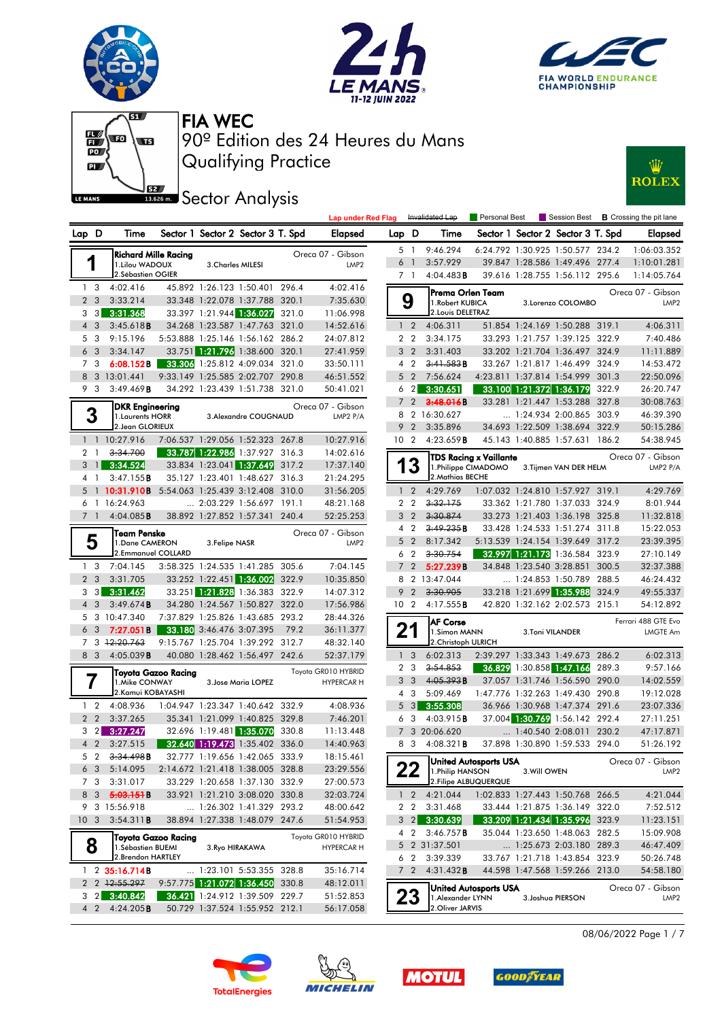







13.626 m. Sector Analysis



|                 |                |                                      |                      |                |                                   |       | <b>Lap under Red Flag</b>                |                |                                  | Invalidated Lap                      | Personal Best          |                            |                                                                  |       | Session Best <b>B</b> Crossing the pit lane |
|-----------------|----------------|--------------------------------------|----------------------|----------------|-----------------------------------|-------|------------------------------------------|----------------|----------------------------------|--------------------------------------|------------------------|----------------------------|------------------------------------------------------------------|-------|---------------------------------------------|
| Lap D           |                | Time                                 |                      |                | Sector 1 Sector 2 Sector 3 T. Spd |       | <b>Elapsed</b>                           | Lap D          |                                  | Time                                 |                        |                            | Sector 1 Sector 2 Sector 3 T. Spd                                |       | <b>Elapsed</b>                              |
|                 |                |                                      | Richard Mille Racing |                |                                   |       | Oreca 07 - Gibson                        |                | 5 1                              | 9:46.294                             |                        |                            | 6:24.792 1:30.925 1:50.577 234.2                                 |       | 1:06:03.352                                 |
|                 | 1              | 1.Lilou WADOUX                       |                      |                | <b>3.Charles MILESI</b>           |       | LMP <sub>2</sub>                         |                | 6 <sup>1</sup>                   | 3:57.929                             |                        |                            | 39.847 1:28.586 1:49.496 277.4                                   |       | 1:10:01.281                                 |
|                 |                | 2.Sébastien OGIER                    |                      |                |                                   |       |                                          |                | 7 1                              | $4:04.483$ B                         |                        |                            | 39.616 1:28.755 1:56.112 295.6                                   |       | 1:14:05.764                                 |
|                 | 1 <sub>3</sub> | 4:02.416                             |                      |                | 45.892 1:26.123 1:50.401 296.4    |       | 4:02.416                                 |                |                                  | Prema Orlen Team                     |                        |                            |                                                                  |       | Oreca 07 - Gibson                           |
|                 | 2 <sub>3</sub> | 3:33.214                             |                      |                | 33.348 1:22.078 1:37.788 320.1    |       | 7:35.630                                 |                | 9                                | 1. Robert KUBICA                     |                        |                            | 3.Lorenzo COLOMBO                                                |       | LMP <sub>2</sub>                            |
|                 | $3 \quad 3$    | 3:31.368                             |                      |                | 33.397 1:21.944 1:36.027 321.0    |       | 11:06.998                                |                |                                  | 2. Louis DELETRAZ                    |                        |                            |                                                                  |       |                                             |
|                 | $4 \quad 3$    | 3:45.618B                            |                      |                | 34.268 1:23.587 1:47.763 321.0    |       | 14:52.616                                |                | 1 <sub>2</sub>                   | 4:06.311                             |                        |                            | 51.854 1:24.169 1:50.288 319.1                                   |       | 4:06.311                                    |
|                 | 5 3            | 9:15.196                             |                      |                | 5:53.888 1:25.146 1:56.162 286.2  |       | 24:07.812                                |                | 2 <sub>2</sub>                   | 3:34.175                             |                        |                            | 33.293 1:21.757 1:39.125 322.9                                   |       | 7:40.486                                    |
|                 | 6 <sub>3</sub> | 3:34.147                             |                      |                | 33.751 1:21.796 1:38.600 320.1    |       | 27:41.959                                |                | 3 <sub>2</sub>                   | 3:31.403                             |                        |                            | 33.202 1:21.704 1:36.497 324.9                                   |       | 11:11.889                                   |
|                 | 7 3            | 6:08.152B                            |                      |                | 33.306 1:25.812 4:09.034 321.0    |       | 33:50.111                                |                | $4\quad2$                        | 3:41.583B                            |                        |                            | 33.267 1:21.817 1:46.499 324.9                                   |       | 14:53.472                                   |
|                 |                | 8 3 13:01.441                        |                      |                | 9:33.149 1:25.585 2:02.707 290.8  |       | 46:51.552                                |                | 5 <sub>2</sub>                   | 7:56.624                             |                        |                            | 4:23.811 1:37.814 1:54.999 301.3                                 |       | 22:50.096                                   |
|                 | 9 3            | 3:49.469B                            |                      |                | 34.292 1:23.439 1:51.738 321.0    |       | 50:41.021                                |                | $6\quad2$                        | 3:30.651                             |                        |                            | 33.100 1:21.372 1:36.179                                         | 322.9 | 26:20.747                                   |
|                 |                | DKR Engineering                      |                      |                |                                   |       | Oreca 07 - Gibson                        | $7^{\circ}$    |                                  | 2 3:48.016B                          |                        |                            | 33.281 1:21.447 1:53.288 327.8                                   |       | 30:08.763                                   |
|                 | 3              | 1. Laurents HORR                     |                      |                | 3. Alexandre COUGNAUD             |       | LMP2 P/A                                 |                |                                  | 8 2 16:30.627                        |                        |                            | $\ldots$ 1:24.934 2:00.865 303.9                                 |       | 46:39.390                                   |
|                 |                | 2. Jean GLORIEUX                     |                      |                |                                   |       |                                          |                |                                  | 9 2 3:35.896                         |                        |                            | 34.693 1:22.509 1:38.694 322.9                                   |       | 50:15.286                                   |
|                 |                | 1 1 10:27.916                        |                      |                | 7:06.537 1:29.056 1:52.323 267.8  |       | 10:27.916                                |                | 10 <sub>2</sub>                  | 4:23.659B                            |                        |                            | 45.143 1:40.885 1:57.631 186.2                                   |       | 54:38.945                                   |
|                 | 2 <sub>1</sub> | 3:34.700                             |                      |                | 33.787 1:22.986 1:37.927 316.3    |       | 14:02.616                                |                |                                  |                                      | TDS Racing x Vaillante |                            |                                                                  |       | Oreca 07 - Gibson                           |
|                 | 3 <sup>1</sup> | 3:34.524                             |                      |                | 33.834 1:23.041 1:37.649 317.2    |       | 17:37.140                                |                | 3                                |                                      | 1.Philippe CIMADOMO    |                            | 3. Tijmen VAN DER HELM                                           |       | LMP2 P/A                                    |
|                 | 4 1            | 3:47.155B                            |                      |                | 35.127 1:23.401 1:48.627 316.3    |       | 21:24.295                                |                |                                  | 2. Mathias BECHE                     |                        |                            |                                                                  |       |                                             |
|                 |                | 5 1 10:31.910B                       |                      |                | 5:54.063 1:25.439 3:12.408 310.0  |       | 31:56.205                                |                | $1\quad 2$                       | 4:29.769                             |                        |                            | 1:07.032 1:24.810 1:57.927 319.1                                 |       | 4:29.769                                    |
|                 |                | 6 1 16:24.963                        |                      |                | $\ldots$ 2:03.229 1:56.697 191.1  |       | 48:21.168                                |                | 2 <sub>2</sub>                   | 3:32.175                             |                        |                            | 33.362 1:21.780 1:37.033 324.9                                   |       | 8:01.944                                    |
|                 | 7 <sub>1</sub> | 4:04.085B                            |                      |                | 38.892 1:27.852 1:57.341 240.4    |       | 52:25.253                                |                | 3 <sup>2</sup>                   | 3:30.874                             |                        |                            | 33.273 1:21.403 1:36.198 325.8                                   |       | 11:32.818                                   |
|                 |                | Team Penske                          |                      |                |                                   |       | Oreca 07 - Gibson                        |                | $4\quad2$                        | 3:49.235B                            |                        |                            | 33.428 1:24.533 1:51.274 311.8                                   |       | 15:22.053                                   |
|                 | 5              | 1.Dane CAMERON                       |                      | 3. Felipe NASR |                                   |       | LMP <sub>2</sub>                         |                | 5 <sub>2</sub>                   | 8:17.342                             |                        |                            | 5:13.539 1:24.154 1:39.649 317.2                                 |       | 23:39.395                                   |
|                 |                | 2.Emmanuel COLLARD                   |                      |                |                                   |       |                                          |                | 6 2                              | 3:30.754                             |                        |                            | 32.997 1:21.173 1:36.584 323.9                                   |       | 27:10.149                                   |
|                 | 1 <sub>3</sub> | 7:04.145                             |                      |                | 3:58.325 1:24.535 1:41.285 305.6  |       | 7:04.145                                 | $\overline{7}$ | 2                                | 5:27.239B                            |                        |                            | 34.848 1:23.540 3:28.851                                         | 300.5 | 32:37.388                                   |
|                 | 2 <sub>3</sub> | 3:31.705                             |                      |                | 33.252 1:22.451 1:36.002 322.9    |       | 10:35.850                                |                |                                  | 8 2 13:47.044                        |                        |                            | 1:24.853 1:50.789 288.5                                          |       | 46:24.432                                   |
|                 | 3 3            | 3:31.462                             |                      |                | 33.251 1:21.828 1:36.383 322.9    |       | 14:07.312                                | 9              | $\overline{2}$                   | 3:30.905                             |                        |                            | 33.218 1:21.699 1:35.988 324.9                                   |       | 49:55.337                                   |
|                 | $4 \quad 3$    | 3:49.674B                            |                      |                | 34.280 1:24.567 1:50.827 322.0    |       | 17:56.986                                |                | 10 <sub>2</sub>                  | 4:17.555B                            |                        |                            | 42.820 1:32.162 2:02.573 215.1                                   |       | 54:12.892                                   |
|                 |                | 5 3 10:47.340                        |                      |                | 7:37.829 1:25.826 1:43.685 293.2  |       | 28:44.326                                |                |                                  | <b>AF Corse</b>                      |                        |                            |                                                                  |       | Ferrari 488 GTE Evo                         |
|                 | 6 <sub>3</sub> | 7:27.051B                            |                      |                | 33.180 3:46.476 3:07.395          | 79.2  | 36:11.377                                |                | 21                               | 1.Simon MANN<br>2. Christoph ULRICH  |                        |                            | 3.Toni VILANDER                                                  |       | <b>LMGTE Am</b>                             |
|                 | 8 3            | 7 3 12:20.763                        |                      |                | 9:15.767 1:25.704 1:39.292 312.7  |       | 48:32.140                                |                |                                  |                                      |                        |                            |                                                                  |       |                                             |
|                 |                | 4:05.039B                            |                      |                | 40.080 1:28.462 1:56.497 242.6    |       | 52:37.179                                |                | 1 <sup>3</sup><br>2 <sub>3</sub> | 6:02.313                             |                        |                            | 2:39.297 1:33.343 1:49.673 286.2                                 |       | 6:02.313                                    |
|                 |                |                                      | Toyota Gazoo Racing  |                |                                   |       | Toyota GR010 HYBRID                      |                | 3 <sub>3</sub>                   | 3:54.853<br>4:05.393B                |                        |                            | 36.829 1:30.858 1:47.166 289.3<br>37.057 1:31.746 1:56.590 290.0 |       | 9:57.166<br>14:02.559                       |
|                 |                | 1. Mike CONWAY<br>2. Kamui KOBAYASHI |                      |                | 3. Jose Maria LOPEZ               |       | <b>HYPERCAR H</b>                        |                | 4 3                              | 5:09.469                             |                        |                            | 1:47.776 1:32.263 1:49.430 290.8                                 |       | 19:12.028                                   |
|                 | $1\quad 2$     | 4:08.936                             |                      |                | 1:04.947 1:23.347 1:40.642 332.9  |       | 4:08.936                                 |                |                                  | $5\quad 3$ 3:55.308                  |                        |                            | 36.966 1:30.968 1:47.374 291.6                                   |       | 23:07.336                                   |
|                 | 2 <sub>2</sub> | 3:37.265                             |                      |                | 35.341 1:21.099 1:40.825 329.8    |       | 7:46.201                                 |                | 6 3                              | 4:03.915 <b>B</b>                    |                        |                            | 37.004 1:30.769 1:56.142 292.4                                   |       | 27:11.251                                   |
|                 | 3 2            | 3:27.247                             |                      |                | 32.696 1:19.481 1:35.070          | 330.8 | 11:13.448                                | $7^{\circ}$    |                                  | 3 20:06.620                          |                        | $\ldots$ 1:40.540 2:08.011 |                                                                  | 230.2 | 47:17.871                                   |
|                 | $4\quad2$      | 3:27.515                             |                      |                | 32.640 1:19.473 1:35.402 336.0    |       | 14:40.963                                |                |                                  | 8 3 4:08.321 <b>B</b>                |                        |                            | 37.898 1:30.890 1:59.533 294.0                                   |       | 51:26.192                                   |
| 5               | $\overline{2}$ | 3:34.498B                            |                      |                | 32.777 1:19.656 1:42.065 333.9    |       | 18:15.461                                |                |                                  |                                      |                        |                            |                                                                  |       |                                             |
|                 | 6 3            | 5:14.095                             |                      |                | 2:14.672 1:21.418 1:38.005 328.8  |       | 23:29.556                                |                | 22                               | 1. Philip HANSON                     | United Autosports USA  | 3. Will OWEN               |                                                                  |       | Oreca 07 - Gibson<br>LMP <sub>2</sub>       |
|                 | 7 3            | 3:31.017                             |                      |                | 33.229 1:20.658 1:37.130 332.9    |       | 27:00.573                                |                |                                  |                                      | 2. Filipe ALBUQUERQUE  |                            |                                                                  |       |                                             |
|                 | 8 3            | 5:03.151B                            |                      |                | 33.921 1:21.210 3:08.020 330.8    |       | 32:03.724                                |                |                                  | $1 \quad 2 \quad 4:21.044$           |                        |                            | 1:02.833 1:27.443 1:50.768 266.5                                 |       | 4:21.044                                    |
|                 |                | 9 3 15:56.918                        |                      |                | 1:26.302 1:41.329 293.2           |       | 48:00.642                                |                |                                  | 2 2 3:31.468                         |                        |                            | 33.444 1:21.875 1:36.149 322.0                                   |       | 7:52.512                                    |
| 10 <sub>3</sub> |                | 3:54.311B                            |                      |                | 38.894 1:27.338 1:48.079 247.6    |       | 51:54.953                                |                |                                  | $3\quad 2$ 3:30.639                  |                        |                            | 33.209 1:21.434 1:35.996 323.9                                   |       | 11:23.151                                   |
|                 |                |                                      |                      |                |                                   |       |                                          |                |                                  | 4 2 3:46.757 <b>B</b>                |                        |                            | 35.044 1:23.650 1:48.063 282.5                                   |       | 15:09.908                                   |
|                 | 8              | 1. Sébastien BUEMI                   | Toyota Gazoo Racina  |                | 3. Ryo HIRAKAWA                   |       | Toyota GR010 HYBRID<br><b>HYPERCAR H</b> |                |                                  | 5 2 31:37.501                        |                        |                            | 1:25.673 2:03.180 289.3                                          |       | 46:47.409                                   |
|                 |                | 2. Brendon HARTLEY                   |                      |                |                                   |       |                                          |                |                                  | 6 2 3:39.339                         |                        |                            | 33.767 1:21.718 1:43.854 323.9                                   |       | 50:26.748                                   |
|                 |                | $1 \quad 2 \quad 35:16.714B$         |                      |                | 1:23.101 5:53.355 328.8           |       | 35:16.714                                |                |                                  | $7 \quad 2 \quad 4:31.432 \text{ B}$ |                        |                            | 44.598 1:47.568 1:59.266 213.0                                   |       | 54:58.180                                   |
|                 |                | 2 2 12:55.297                        |                      |                | 9:57.775 1:21.072 1:36.450 330.8  |       | 48:12.011                                |                |                                  |                                      |                        |                            |                                                                  |       |                                             |
|                 | 3 <sub>2</sub> | 3:40.842                             |                      |                | 36.421 1:24.912 1:39.509 229.7    |       | 51:52.853                                |                | 23                               | 1. Alexander LYNN                    | United Autosports USA  |                            | 3. Joshua PIERSON                                                |       | Oreca 07 - Gibson<br>LMP <sub>2</sub>       |
|                 | 4 <sup>2</sup> | 4:24.205B                            |                      |                | 50.729 1:37.524 1:55.952 212.1    |       | 56:17.058                                |                |                                  | 2. Oliver JARVIS                     |                        |                            |                                                                  |       |                                             |
|                 |                |                                      |                      |                |                                   |       |                                          |                |                                  |                                      |                        |                            |                                                                  |       |                                             |

08/06/2022 Page 1 / 7







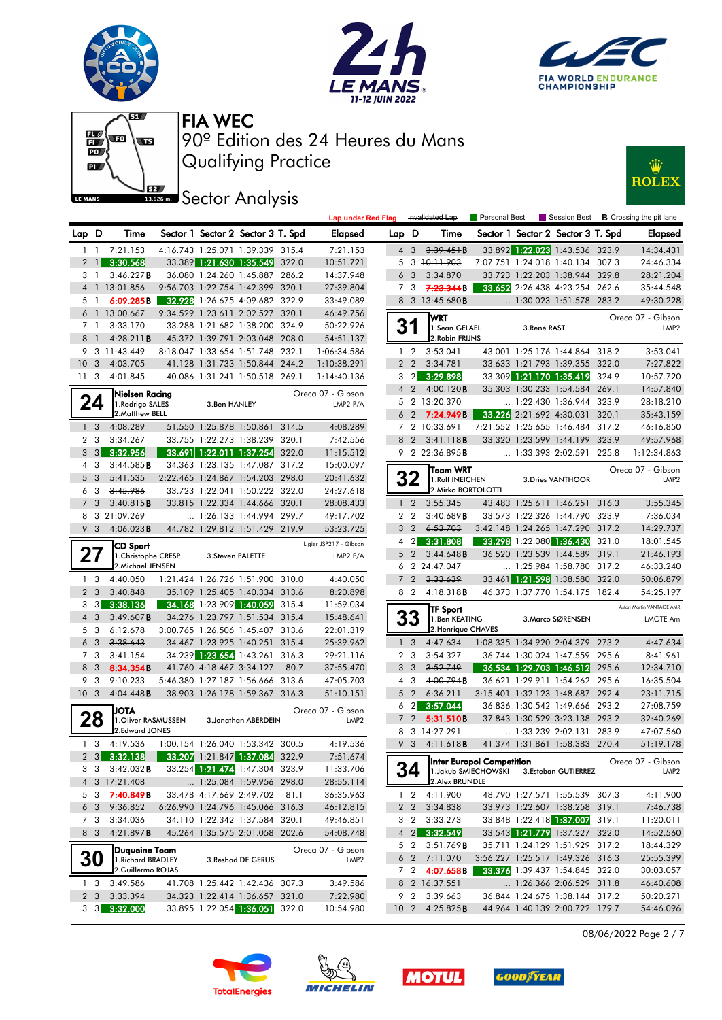











|                  |                   |                                       |                          |                                   |       | <b>Lap under Red Flag</b> |                |                | Invalidated Lap            | Personal Best             |             |                                   |       | Session Best <b>B</b> Crossing the pit lane |
|------------------|-------------------|---------------------------------------|--------------------------|-----------------------------------|-------|---------------------------|----------------|----------------|----------------------------|---------------------------|-------------|-----------------------------------|-------|---------------------------------------------|
| Lap D            |                   | Time                                  |                          | Sector 1 Sector 2 Sector 3 T. Spd |       | Elapsed                   | Lap D          |                | Time                       |                           |             | Sector 1 Sector 2 Sector 3 T. Spd |       | Elapsed                                     |
| $1\quad$         |                   | 7:21.153                              |                          | 4:16.743 1:25.071 1:39.339 315.4  |       | 7:21.153                  |                | 4 3            | $3.39.45 + B$              |                           |             | 33.892 1:22.023 1:43.536 323.9    |       | 14:34.431                                   |
|                  | $2 \mid$          | 3:30.568                              |                          | 33.389 1:21.630 1:35.549 322.0    |       | 10:51.721                 |                |                | 5 3 10:11.903              |                           |             | 7:07.751 1:24.018 1:40.134 307.3  |       | 24:46.334                                   |
| 3 1              |                   | 3:46.227B                             |                          | 36.080 1:24.260 1:45.887 286.2    |       | 14:37.948                 | 6              | 3              | 3:34.870                   |                           |             | 33.723 1:22.203 1:38.944 329.8    |       | 28:21.204                                   |
|                  |                   | 4 1 13:01.856                         |                          | 9:56.703 1:22.754 1:42.399 320.1  |       | 27:39.804                 | $\overline{7}$ | 3              | 7.23.344B                  |                           |             | 33.652 2:26.438 4:23.254 262.6    |       | 35:44.548                                   |
| 5 1              |                   | 6:09.285B                             |                          | 32.928 1:26.675 4:09.682 322.9    |       | 33:49.089                 |                |                | 8 3 13:45.680 <b>B</b>     |                           |             | 1:30.023 1:51.578 283.2           |       | 49:30.228                                   |
|                  |                   | 6 1 13:00.667                         |                          | 9:34.529 1:23.611 2:02.527 320.1  |       | 46:49.756                 |                |                | <b>WRT</b>                 |                           |             |                                   |       | Oreca 07 - Gibson                           |
| 7 <sub>1</sub>   |                   | 3:33.170                              |                          | 33.288 1:21.682 1:38.200 324.9    |       | 50:22.926                 | 31             |                | 1.Sean GELAEL              |                           | 3.René RAST |                                   |       | LMP <sub>2</sub>                            |
| 8                | $\overline{1}$    | 4:28.211B                             |                          | 45.372 1:39.791 2:03.048 208.0    |       | 54:51.137                 |                |                | 2. Robin FRIJNS            |                           |             |                                   |       |                                             |
|                  |                   | 9 3 11:43.449                         |                          | 8:18.047 1:33.654 1:51.748 232.1  |       | 1:06:34.586               |                | $1\quad 2$     | 3:53.041                   |                           |             | 43.001 1:25.176 1:44.864 318.2    |       | 3:53.041                                    |
| 10 <sup>°</sup>  | 3                 | 4:03.705                              |                          | 41.128 1:31.733 1:50.844 244.2    |       | 1:10:38.291               |                | 2 <sub>2</sub> | 3:34.781                   |                           |             | 33.633 1:21.793 1:39.355 322.0    |       | 7:27.822                                    |
| 11 <sub>3</sub>  |                   | 4:01.845                              |                          | 40.086 1:31.241 1:50.518 269.1    |       | 1:14:40.136               | 3              | $\overline{2}$ | 3:29.898                   |                           |             | 33.309 1:21.170 1:35.419          | 324.9 | 10:57.720                                   |
|                  |                   | Nielsen Racing                        |                          |                                   |       | Oreca 07 - Gibson         | $\overline{4}$ | $\overline{2}$ | 4:00.120B                  |                           |             | 35.303 1:30.233 1:54.584 269.1    |       | 14:57.840                                   |
|                  | 24                | 1. Rodrigo SALES                      | 3.Ben HANLEY             |                                   |       | LMP2 P/A                  |                |                | 5 2 13:20.370              |                           |             | 1:22.430 1:36.944 323.9           |       | 28:18.210                                   |
|                  |                   | 2. Matthew BELL                       |                          |                                   |       |                           |                | 6 <sub>2</sub> | 7:24.949B                  |                           |             | 33.226 2:21.692 4:30.031          | 320.1 | 35:43.159                                   |
|                  | 1 <sup>3</sup>    | 4:08.289                              |                          | 51.550 1:25.878 1:50.861 314.5    |       | 4:08.289                  | 7              |                | 2 10:33.691                |                           |             | 7:21.552 1:25.655 1:46.484        | 317.2 | 46:16.850                                   |
| 2 <sub>3</sub>   |                   | 3:34.267                              |                          | 33.755 1:22.273 1:38.239 320.1    |       | 7:42.556                  | 8              | $\overline{2}$ | 3:41.118B                  |                           |             | 33.320 1:23.599 1:44.199          | 323.9 | 49:57.968                                   |
| 3                | 3                 | 3:32.956                              |                          | 33.691 1:22.011 1:37.254 322.0    |       | 11:15.512                 |                |                | 9 2 22:36.895B             |                           |             | 1:33.393 2:02.591 225.8           |       | 1:12:34.863                                 |
| 4                | 3                 | 3:44.585B                             |                          | 34.363 1:23.135 1:47.087 317.2    |       | 15:00.097                 |                |                | Team WRT                   |                           |             |                                   |       | Oreca 07 - Gibson                           |
| 5                | 3                 | 5:41.535                              |                          | 2:22.465 1:24.867 1:54.203 298.0  |       | 20:41.632                 |                | 32             | 1. Rolf INEICHEN           |                           |             | 3. Dries VANTHOOR                 |       | LMP <sub>2</sub>                            |
| 6                | 3                 | 3:45.986                              |                          | 33.723 1:22.041 1:50.222 322.0    |       | 24:27.618                 |                |                | 2. Mirko BORTOLOTTI        |                           |             |                                   |       |                                             |
| $\overline{7}$   | 3                 | 3:40.815B                             |                          | 33.815 1:22.334 1:44.666 320.1    |       | 28:08.433                 |                | $1\quad 2$     | 3:55.345                   |                           |             | 43.483 1:25.611 1:46.251 316.3    |       | 3:55.345                                    |
| 8                |                   | 3 21:09.269                           |                          | $\ldots$ 1:26.133 1:44.994 299.7  |       | 49:17.702                 |                | 2 <sub>2</sub> | 3:40.689B                  |                           |             | 33.573 1:22.326 1:44.790 323.9    |       | 7:36.034                                    |
| 9                | 3                 | 4:06.023B                             |                          | 44.782 1:29.812 1:51.429 219.9    |       | 53:23.725                 | 3              | $\overline{2}$ | 6:53.703                   |                           |             | 3:42.148 1:24.265 1:47.290 317.2  |       | 14:29.737                                   |
|                  |                   | <b>CD Sport</b>                       |                          |                                   |       | Ligier JSP217 - Gibson    | 4              | $\overline{2}$ | 3:31.808                   |                           |             | 33.298 1:22.080 1:36.430          | 321.0 | 18:01.545                                   |
| 27               |                   | 1. Christophe CRESP                   |                          | 3. Steven PALETTE                 |       | LMP2 P/A                  | 5              | 2              | 3:44.648B                  |                           |             | 36.520 1:23.539 1:44.589          | 319.1 | 21:46.193                                   |
|                  |                   | 2. Michael JENSEN                     |                          |                                   |       |                           | 6              |                | 2 24:47.047                |                           |             | 1:25.984 1:58.780 317.2           |       | 46:33.240                                   |
| 1 <sub>3</sub>   |                   | 4:40.050                              |                          | 1:21.424 1:26.726 1:51.900 310.0  |       | 4:40.050                  | $\overline{7}$ | $\overline{2}$ | 3:33.639                   |                           |             | 33.461 1:21.598 1:38.580 322.0    |       | 50:06.879                                   |
| 2 <sub>3</sub>   |                   | 3:40.848                              |                          | 35.109 1:25.405 1:40.334 313.6    |       | 8:20.898                  |                | 8 2            | $4:18.318$ <b>B</b>        |                           |             | 46.373 1:37.770 1:54.175 182.4    |       | 54:25.197                                   |
| 3                | $\lceil 3 \rceil$ | 3:38.136                              | 34.168 1:23.909 1:40.059 |                                   | 315.4 | 11:59.034                 |                |                | TF Sport                   |                           |             |                                   |       | Aston Martin VANTAGE AMR                    |
| $4 \overline{3}$ |                   | 3:49.607B                             |                          | 34.276 1:23.797 1:51.534 315.4    |       | 15:48.641                 |                | 33             | 1.Ben KEATING              |                           |             | 3. Marco SØRENSEN                 |       | LMGTE Am                                    |
| 5 3              |                   | 6:12.678                              |                          | 3:00.765 1:26.506 1:45.407 313.6  |       | 22:01.319                 |                |                | 2. Henrique CHAVES         |                           |             |                                   |       |                                             |
| 6 <sub>3</sub>   |                   | 3:38.643                              |                          | 34.467 1:23.925 1:40.251 315.4    |       | 25:39.962                 |                | 1 <sup>3</sup> | 4:47.634                   |                           |             | 1:08.335 1:34.920 2:04.379 273.2  |       | 4:47.634                                    |
| 7 3              |                   | 3:41.154                              |                          | 34.239 1:23.654 1:43.261 316.3    |       | 29:21.116                 |                | 2 <sub>3</sub> | 3:54.327                   |                           |             | 36.744 1:30.024 1:47.559 295.6    |       | 8:41.961                                    |
| 8                | 3                 | 8:34.354B                             | 41.760 4:18.467 3:34.127 |                                   | 80.7  | 37:55.470                 | 3              | $\mathbf{3}$   | 3:52.749                   |                           |             | 36.534 1:29.703 1:46.512 295.6    |       | 12:34.710                                   |
| 9                | 3                 | 9:10.233                              |                          | 5:46.380 1:27.187 1:56.666 313.6  |       | 47:05.703                 | 4              | 3              | 4:00.794B                  |                           |             | 36.621 1:29.911 1:54.262 295.6    |       | 16:35.504                                   |
| 10 <sub>3</sub>  |                   | 4:04.448B                             |                          | 38.903 1:26.178 1:59.367 316.3    |       | 51:10.151                 | 5              | $\overline{2}$ | 6:36.211                   |                           |             | 3:15.401 1:32.123 1:48.687 292.4  |       | 23:11.715                                   |
|                  |                   | <b>JOTA</b>                           |                          |                                   |       | Oreca 07 - Gibson         | 6              | $\overline{2}$ | 3:57.044                   |                           |             | 36.836 1:30.542 1:49.666 293.2    |       | 27:08.759                                   |
|                  | 28                | 1. Oliver RASMUSSEN<br>2.Edward JONES |                          | 3. Jonathan ABERDEIN              |       | LMP <sub>2</sub>          | $\overline{7}$ | $\overline{2}$ | 5:31.510B                  |                           |             | 37.843 1:30.529 3:23.138 293.2    |       | 32:40.269                                   |
|                  |                   |                                       |                          |                                   |       |                           | 8              |                | 3 14:27.291                |                           |             | 1:33.239 2:02.131                 | 283.9 | 47:07.560                                   |
| 1 <sub>3</sub>   |                   | 4:19.536                              |                          | 1:00.154 1:26.040 1:53.342 300.5  |       | 4:19.536                  | 9              | $\mathbf{3}$   | 4:11.618 <b>B</b>          |                           |             | 41.374 1:31.861 1:58.383 270.4    |       | 51:19.178                                   |
|                  |                   | 2 3 3:32.138                          |                          | 33.207 1:21.847 1:37.084 322.9    |       | 7:51.674                  |                |                |                            | Inter Europol Competition |             |                                   |       | Oreca 07 - Gibson                           |
|                  | 3 3               | $3:42.032$ <b>B</b>                   |                          | 33.254 1:21.474 1:47.304 323.9    |       | 11:33.706                 | 34             |                |                            | 1. Jakub SMIECHOWSKI      |             | 3.Esteban GUTIERREZ               |       | LMP2                                        |
|                  |                   | 4 3 17:21.408                         |                          | 1:25.084 1:59.956 298.0           |       | 28:55.114                 |                |                | 2. Alex BRUNDLE            |                           |             |                                   |       |                                             |
|                  | 5 3               | 7:40.849B                             |                          | 33.478 4:17.669 2:49.702 81.1     |       | 36:35.963                 |                |                | $1 \quad 2 \quad 4:11.900$ |                           |             | 48.790 1:27.571 1:55.539 307.3    |       | 4:11.900                                    |
|                  | 6 <sub>3</sub>    | 9:36.852                              |                          | 6:26.990 1:24.796 1:45.066 316.3  |       | 46:12.815                 |                |                | 2 2 3:34.838               |                           |             | 33.973 1:22.607 1:38.258 319.1    |       | 7:46.738                                    |
|                  | 7 3               | 3:34.036                              |                          | 34.110 1:22.342 1:37.584 320.1    |       | 49:46.851                 | 3              | $\overline{2}$ | 3:33.273                   |                           |             | 33.848 1:22.418 1:37.007 319.1    |       | 11:20.011                                   |
|                  | 8 3               | 4:21.897B                             |                          | 45.264 1:35.575 2:01.058 202.6    |       | 54:08.748                 |                |                | 4 2 3:32.549               |                           |             | 33.543 1:21.779 1:37.227 322.0    |       | 14:52.560                                   |
|                  |                   | <b>Dugueine Team</b>                  |                          |                                   |       | Oreca 07 - Gibson         |                |                | 5 2 3:51.769 <b>B</b>      |                           |             | 35.711 1:24.129 1:51.929 317.2    |       | 18:44.329                                   |
|                  | <b>30</b>         | 1. Richard BRADLEY                    |                          | 3. Reshad DE GERUS                |       | LMP <sub>2</sub>          |                |                | 6 2 7:11.070               |                           |             | 3:56.227 1:25.517 1:49.326 316.3  |       | 25:55.399                                   |
|                  |                   | 2.Guillermo ROJAS                     |                          |                                   |       |                           |                |                | 7 2 4:07.658B              |                           |             | 33.376 1:39.437 1:54.845 322.0    |       | 30:03.057                                   |
| 1 <sub>3</sub>   |                   | 3:49.586                              |                          | 41.708 1:25.442 1:42.436 307.3    |       | 3:49.586                  |                |                | 8 2 16:37.551              |                           |             | 1:26.366 2:06.529 311.8           |       | 46:40.608                                   |
| 2 <sub>3</sub>   |                   | 3:33.394                              |                          | 34.323 1:22.414 1:36.657 321.0    |       | 7:22.980                  |                |                | 9 2 3:39.663               |                           |             | 36.844 1:24.675 1:38.144 317.2    |       | 50:20.271                                   |
|                  | $3 \quad 3$       | 3:32.000                              |                          | 33.895 1:22.054 1:36.051 322.0    |       | 10:54.980                 |                |                | 10 2 4:25.825 <b>B</b>     |                           |             | 44.964 1:40.139 2:00.722 179.7    |       | 54:46.096                                   |

08/06/2022 Page 2 / 7







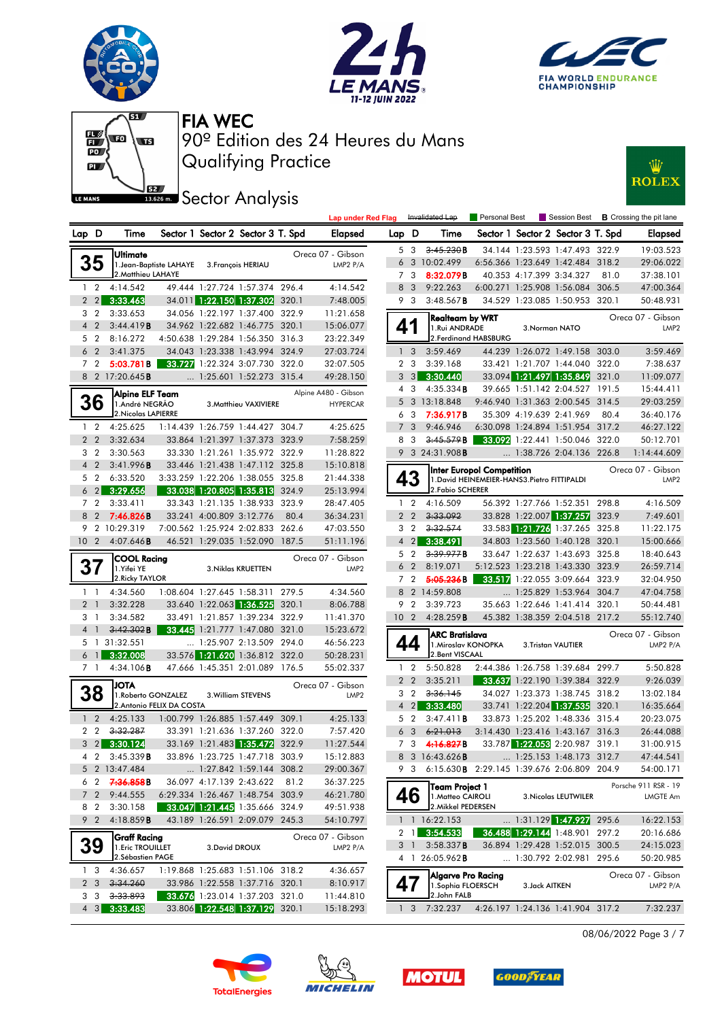







**IS.626m.** Sector Analysis



|                 |                |                        |                           |                          |                                   |       | <b>Lap under Red Flag</b> |                 |                | Invalidated Lap                                        | <b>Personal Best</b>                         |                |                                   |       | Session Best <b>B</b> Crossing the pit lane |
|-----------------|----------------|------------------------|---------------------------|--------------------------|-----------------------------------|-------|---------------------------|-----------------|----------------|--------------------------------------------------------|----------------------------------------------|----------------|-----------------------------------|-------|---------------------------------------------|
| Lap D           |                | Time                   |                           |                          | Sector 1 Sector 2 Sector 3 T. Spd |       | Elapsed                   | Lap D           |                | Time                                                   |                                              |                | Sector 1 Sector 2 Sector 3 T. Spd |       | <b>Elapsed</b>                              |
|                 |                | Ultimate               |                           |                          |                                   |       | Oreca 07 - Gibson         |                 | 5 3            | 3.45.230B                                              |                                              |                | 34.144 1:23.593 1:47.493 322.9    |       | 19:03.523                                   |
|                 | 35             |                        | 1. Jean-Baptiste LAHAYE   |                          | 3. François HERIAU                |       | LMP2 P/A                  |                 |                | 6 3 10:02.499                                          |                                              |                | 6:56.366 1:23.649 1:42.484 318.2  |       | 29:06.022                                   |
|                 |                | 2. Matthieu LAHAYE     |                           |                          |                                   |       |                           |                 | 7 3            | 8:32.079B                                              |                                              |                | 40.353 4:17.399 3:34.327          | 81.0  | 37:38.101                                   |
| $1\quad 2$      |                | 4:14.542               |                           |                          | 49.444 1:27.724 1:57.374 296.4    |       | 4:14.542                  | 8               | $\overline{3}$ | 9:22.263                                               |                                              |                | 6:00.271 1:25.908 1:56.084 306.5  |       | 47:00.364                                   |
|                 | $2 \quad 2$    | 3:33.463               |                           |                          | 34.011 1:22.150 1:37.302 320.1    |       | 7:48.005                  | 9               | $\mathbf{3}$   | $3:48.567$ B                                           |                                              |                | 34.529 1:23.085 1:50.953 320.1    |       | 50:48.931                                   |
| 3 <sub>2</sub>  |                | 3:33.653               |                           |                          | 34.056 1:22.197 1:37.400 322.9    |       | 11:21.658                 |                 |                | Realteam by WRT                                        |                                              |                |                                   |       | Oreca 07 - Gibson                           |
| 4 <sup>2</sup>  |                | 3:44.419B              |                           |                          | 34.962 1:22.682 1:46.775 320.1    |       | 15:06.077                 | 41              |                | 1.Rui ANDRADE                                          |                                              |                | 3. Norman NATO                    |       | LMP <sub>2</sub>                            |
| 5 2             |                | 8:16.272               |                           |                          | 4:50.638 1:29.284 1:56.350 316.3  |       | 23:22.349                 |                 |                |                                                        | 2. Ferdinand HABSBURG                        |                |                                   |       |                                             |
| 6 <sub>2</sub>  |                | 3:41.375               |                           |                          | 34.043 1:23.338 1:43.994 324.9    |       | 27:03.724                 |                 | 1 <sup>3</sup> | 3:59.469                                               |                                              |                | 44.239 1:26.072 1:49.158 303.0    |       | 3:59.469                                    |
| 7 <sub>2</sub>  |                | 5:03.781B              |                           |                          | 33.727 1:22.324 3:07.730 322.0    |       | 32:07.505                 |                 | 2 <sub>3</sub> | 3:39.168                                               |                                              |                | 33.421 1:21.707 1:44.040 322.0    |       | 7:38.637                                    |
|                 |                | 8 2 17:20.645 <b>B</b> |                           |                          | $\ldots$ 1:25.601 1:52.273 315.4  |       | 49:28.150                 |                 | $3 \quad 3$    | 3:30.440                                               |                                              |                | 33.094 1:21.497 1:35.849 321.0    |       | 11:09.077                                   |
|                 |                | Alpine ELF Team        |                           |                          |                                   |       | Alpine A480 - Gibson      | $\overline{4}$  | 3              | $4:35.334$ <b>B</b>                                    |                                              |                | 39.665 1:51.142 2:04.527 191.5    |       | 15:44.411                                   |
|                 | 36             | 1.André NEGRÃO         |                           |                          | 3. Matthieu VAXIVIERE             |       | <b>HYPERCAR</b>           | 5               |                | 3 13:18.848                                            |                                              |                | 9:46.940 1:31.363 2:00.545 314.5  |       | 29:03.259                                   |
|                 |                | 2. Nicolas LAPIERRE    |                           |                          |                                   |       |                           | 6               | 3              | 7:36.917B                                              |                                              |                | 35.309 4:19.639 2:41.969          | 80.4  | 36:40.176                                   |
| $1\quad 2$      |                | 4:25.625               |                           |                          | 1:14.439 1:26.759 1:44.427 304.7  |       | 4:25.625                  |                 | 7 <sub>3</sub> | 9:46.946                                               |                                              |                | 6:30.098 1:24.894 1:51.954 317.2  |       | 46:27.122                                   |
| 2 <sub>2</sub>  |                | 3:32.634               |                           |                          | 33.864 1:21.397 1:37.373 323.9    |       | 7:58.259                  | 8               | -3             | 3:45.579B                                              |                                              |                | 33.092 1:22.441 1:50.046 322.0    |       | 50:12.701                                   |
| 3 <sub>2</sub>  |                | 3:30.563               |                           |                          | 33.330 1:21.261 1:35.972 322.9    |       | 11:28.822                 |                 |                | 9 3 24:31.908B                                         |                                              |                | 1:38.726 2:04.136 226.8           |       | 1:14:44.609                                 |
| 4 <sup>2</sup>  |                | 3:41.996B              |                           |                          | 33.446 1:21.438 1:47.112 325.8    |       | 15:10.818                 |                 |                |                                                        | Inter Europol Competition                    |                |                                   |       | Oreca 07 - Gibson                           |
| 5 <sub>2</sub>  |                | 6:33.520               |                           |                          | 3:33.259 1:22.206 1:38.055 325.8  |       | 21:44.338                 |                 | 43             |                                                        | 1. David HEINEMEIER-HANS3. Pietro FITTIPALDI |                |                                   |       | LMP <sub>2</sub>                            |
|                 | $6\quad2$      | 3:29.656               |                           |                          | 33.038 1:20.805 1:35.813 324.9    |       | 25:13.994                 |                 |                | 2. Fabio SCHERER                                       |                                              |                |                                   |       |                                             |
| 7 <sub>2</sub>  |                | 3:33.411               |                           |                          | 33.343 1:21.135 1:38.933 323.9    |       | 28:47.405                 |                 | $1\quad 2$     | 4:16.509                                               |                                              |                | 56.392 1:27.766 1:52.351          | 298.8 | 4:16.509                                    |
| 8 2             |                | 7:46.826B              |                           | 33.241 4:00.809 3:12.776 |                                   | 80.4  | 36:34.231                 |                 | 2 <sub>2</sub> | 3:33.092                                               |                                              |                | 33.828 1:22.007 1:37.257          | 323.9 | 7:49.601                                    |
|                 |                | 9 2 10:29.319          |                           |                          | 7:00.562 1:25.924 2:02.833 262.6  |       | 47:03.550                 |                 | 3 2            | 3:32.574                                               |                                              |                | 33.583 1:21.726 1:37.265 325.8    |       | 11:22.175                                   |
| 10 <sub>2</sub> |                | $4:07.646$ B           |                           |                          | 46.521 1:29.035 1:52.090 187.5    |       | 51:11.196                 | $\overline{4}$  | $2\vert$       | 3:38.491                                               |                                              |                | 34.803 1:23.560 1:40.128 320.1    |       | 15:00.666                                   |
|                 |                | <b>COOL Racing</b>     |                           |                          |                                   |       | Oreca 07 - Gibson         |                 | 5 2            | 3.39.977B                                              |                                              |                | 33.647 1:22.637 1:43.693 325.8    |       | 18:40.643                                   |
| 37              |                | 1.Yifei YE             |                           |                          | 3. Niklas KRUETTEN                |       | LMP <sub>2</sub>          |                 | 6 <sub>2</sub> | 8:19.071                                               |                                              |                | 5:12.523 1:23.218 1:43.330 323.9  |       | 26:59.714                                   |
|                 |                | 2. Ricky TAYLOR        |                           |                          |                                   |       |                           |                 | 7 <sub>2</sub> | 5:05.236B                                              |                                              |                | 33.517 1:22.055 3:09.664 323.9    |       | 32:04.950                                   |
| $1\quad$        |                | 4:34.560               |                           |                          | 1:08.604 1:27.645 1:58.311 279.5  |       | 4:34.560                  |                 |                | 8 2 14:59.808                                          |                                              |                | 1:25.829 1:53.964 304.7           |       | 47:04.758                                   |
| 2 <sub>1</sub>  |                | 3:32.228               |                           | 33.640 1:22.063 1:36.525 |                                   | 320.1 | 8:06.788                  | 9               | $\overline{2}$ | 3:39.723                                               |                                              |                | 35.663 1:22.646 1:41.414 320.1    |       | 50:44.481                                   |
| 31              |                | 3:34.582               |                           |                          | 33.491 1:21.857 1:39.234 322.9    |       | 11:41.370                 | 10 <sub>2</sub> |                | 4:28.259B                                              |                                              |                | 45.382 1:38.359 2:04.518 217.2    |       | 55:12.740                                   |
| 4 1             |                | 3:42.302B              |                           |                          | 33.445 1:21.777 1:47.080 321.0    |       | 15:23.672                 |                 |                | <b>ARC Bratislava</b>                                  |                                              |                |                                   |       | Oreca 07 - Gibson                           |
|                 |                | 5 1 31:32.551          |                           |                          | 1:25.907 2:13.509 294.0           |       | 46:56.223                 |                 | 44             | 1. Miroslav KONOPKA                                    |                                              |                | 3.Tristan VAUTIER                 |       | LMP2 P/A                                    |
|                 | 6 <sub>1</sub> | 3:32.008               |                           |                          | 33.576 1:21.620 1:36.812 322.0    |       | 50:28.231                 |                 |                | 2. Bent VISCAAL                                        |                                              |                |                                   |       |                                             |
| 7 1             |                | 4:34.106B              |                           |                          | 47.666 1:45.351 2:01.089 176.5    |       | 55:02.337                 |                 | $1\quad 2$     | 5:50.828                                               |                                              |                | 2:44.386 1:26.758 1:39.684 299.7  |       | 5:50.828                                    |
|                 |                | ATOL                   |                           |                          |                                   |       | Oreca 07 - Gibson         |                 | 2 <sub>2</sub> | 3:35.211                                               |                                              |                | 33.637 1:22.190 1:39.384 322.9    |       | 9:26.039                                    |
|                 | 38             | 1. Roberto GONZALEZ    |                           |                          | 3. William STEVENS                |       | LMP <sub>2</sub>          |                 | 3 <sub>2</sub> | 3:36.145                                               |                                              |                | 34.027 1:23.373 1:38.745 318.2    |       | 13:02.184                                   |
|                 |                |                        | 2. Antonio FELIX DA COSTA |                          |                                   |       |                           | $\overline{4}$  |                | 2 3:33.480                                             |                                              |                | 33.741 1:22.204 1:37.535 320.1    |       | 16:35.664                                   |
| 1 <sub>2</sub>  |                | 4:25.133               |                           |                          | 1:00.799 1:26.885 1:57.449 309.1  |       | 4:25.133                  |                 | 5 <sub>2</sub> | 3:47.411B                                              |                                              |                | 33.873 1:25.202 1:48.336 315.4    |       | 20:23.075                                   |
| 2 <sub>2</sub>  |                | 3.32.287               |                           |                          | 33.391 1:21.636 1:37.260 322.0    |       | 7:57.420                  |                 | 6 <sub>3</sub> | 6:21.013                                               |                                              |                | 3:14.430 1:23.416 1:43.167 316.3  |       | 26:44.088                                   |
|                 |                | $3\quad 2$ 3:30.124    |                           |                          | 33.169 1:21.483 1:35.472 322.9    |       | 11:27.544                 |                 | 7 3            | 4:16.827B                                              |                                              |                | 33.787 1:22.053 2:20.987 319.1    |       | 31:00.915                                   |
|                 |                | 4 2 3:45.339 B         |                           |                          | 33.896 1:23.725 1:47.718 303.9    |       | 15:12.883                 |                 |                | 8 3 16:43.626 <b>B</b>                                 |                                              |                | $\ldots$ 1:25.153 1:48.173 312.7  |       | 47:44.541                                   |
|                 |                | 5 2 13:47.484          |                           |                          | 1:27.842 1:59.144 308.2           |       | 29:00.367                 |                 |                | 9 3 6:15.630 <b>B</b> 2:29.145 1:39.676 2:06.809 204.9 |                                              |                |                                   |       | 54:00.171                                   |
|                 | 62             | 7.36.858B              |                           |                          | 36.097 4:17.139 2:43.622 81.2     |       | 36:37.225                 |                 |                | Team Project 1                                         |                                              |                |                                   |       | Porsche 911 RSR - 19                        |
|                 | $7\quad2$      | 9:44.555               |                           |                          | 6:29.334 1:26.467 1:48.754 303.9  |       | 46:21.780                 |                 | 46             | 1. Matteo CAIROLI                                      |                                              |                | 3. Nicolas LEUTWILER              |       | <b>LMGTE Am</b>                             |
| 8 2             |                | 3:30.158               |                           |                          | 33.047 1:21.445 1:35.666 324.9    |       | 49:51.938                 |                 |                | 2. Mikkel PEDERSEN                                     |                                              |                |                                   |       |                                             |
|                 |                | 9 2 4:18.859B          |                           |                          | 43.189 1:26.591 2:09.079 245.3    |       | 54:10.797                 |                 |                | $1 \quad 1 \quad 16:22.153$                            |                                              |                | $\ldots$ 1:31.129 1:47.927 295.6  |       | 16:22.153                                   |
|                 |                | Graff Racing           |                           |                          |                                   |       | Oreca 07 - Gibson         |                 |                | 2 1 3:54.533                                           |                                              |                | 36.488 1:29.144 1:48.901 297.2    |       | 20:16.686                                   |
|                 | 39             | 1. Eric TROUILLET      |                           | 3. David DROUX           |                                   |       | LMP2 P/A                  |                 | 3 1            | $3:58.337$ <b>B</b>                                    |                                              |                | 36.894 1:29.428 1:52.015 300.5    |       | 24:15.023                                   |
|                 |                | 2. Sébastien PAGE      |                           |                          |                                   |       |                           |                 |                | 4 1 26:05.962 <b>B</b>                                 |                                              |                | 1:30.792 2:02.981 295.6           |       | 50:20.985                                   |
| 13              |                | 4:36.657               |                           |                          | 1:19.868 1:25.683 1:51.106 318.2  |       | 4:36.657                  |                 |                | <b>Algarve Pro Racing</b>                              |                                              |                |                                   |       | Oreca 07 - Gibson                           |
| 2 <sub>3</sub>  |                | 3:34.260               |                           |                          | 33.986 1:22.558 1:37.716 320.1    |       | 8:10.917                  | 47              |                | 1.Sophia FLOERSCH                                      |                                              | 3. Jack AITKEN |                                   |       | LMP2 P/A                                    |
|                 | 3 3            | 3:33.893               |                           |                          | 33.676 1:23.014 1:37.203 321.0    |       | 11:44.810                 |                 |                | 2.John FALB                                            |                                              |                |                                   |       |                                             |
|                 |                | 4 3 3:33.483           |                           |                          | 33.806 1:22.548 1:37.129 320.1    |       | 15:18.293                 |                 |                | $1 \quad 3 \quad 7:32.237$                             |                                              |                | 4:26.197 1:24.136 1:41.904 317.2  |       | 7:32.237                                    |
|                 |                |                        |                           |                          |                                   |       |                           |                 |                |                                                        |                                              |                |                                   |       |                                             |

08/06/2022 Page 3 / 7







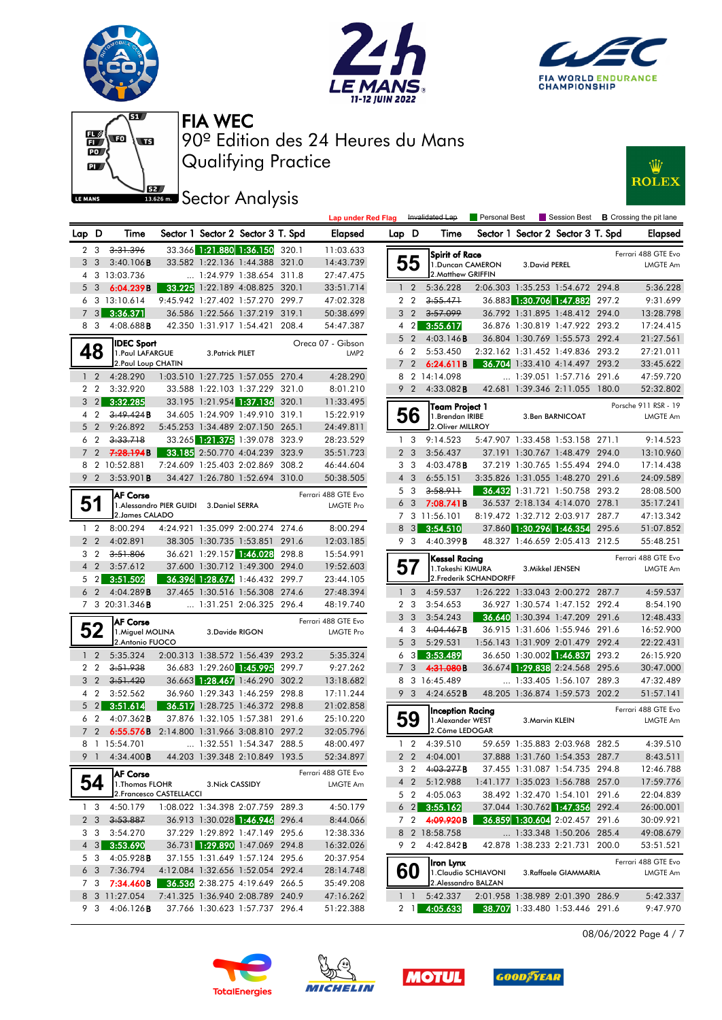











|                |                |                                                |                                          |                  |                                   | <b>Lap under Red Flag</b> |          |                | Invalidated Lap            | Personal Best          |                  |                                   | Session Best <b>B</b> Crossing the pit lane |
|----------------|----------------|------------------------------------------------|------------------------------------------|------------------|-----------------------------------|---------------------------|----------|----------------|----------------------------|------------------------|------------------|-----------------------------------|---------------------------------------------|
| Lap D          |                | Time                                           |                                          |                  | Sector 1 Sector 2 Sector 3 T. Spd | <b>Elapsed</b>            | Lap D    |                | Time                       |                        |                  | Sector 1 Sector 2 Sector 3 T. Spd | <b>Elapsed</b>                              |
|                | 2 3            | 3:31.396                                       |                                          |                  | 33.366 1:21.880 1:36.150 320.1    | 11:03.633                 |          |                | Spirit of Race             |                        |                  |                                   | Ferrari 488 GTE Evo                         |
|                | 3 3            | 3:40.106B                                      |                                          |                  | 33.582 1:22.136 1:44.388 321.0    | 14:43.739                 |          | 55             | 1. Duncan CAMERON          |                        | 3. David PEREL   |                                   | <b>LMGTE Am</b>                             |
|                |                | 4 3 13:03.736                                  |                                          |                  | 1:24.979 1:38.654 311.8           | 27:47.475                 |          |                | 2. Matthew GRIFFIN         |                        |                  |                                   |                                             |
|                | 5 <sub>3</sub> | 6:04.239B                                      |                                          |                  | 33.225 1:22.189 4:08.825 320.1    | 33:51.714                 |          | $1\quad 2$     | 5:36.228                   |                        |                  | 2:06.303 1:35.253 1:54.672 294.8  | 5:36.228                                    |
|                |                | 6 3 13:10.614                                  |                                          |                  | 9:45.942 1:27.402 1:57.270 299.7  | 47:02.328                 |          | 2 2            | 3:55.471                   |                        |                  | 36.883 1:30.706 1:47.882 297.2    | 9:31.699                                    |
|                | 73             | 3:36.371                                       |                                          |                  | 36.586 1:22.566 1:37.219 319.1    | 50:38.699                 |          | 3 <sub>2</sub> | 3.57.099                   |                        |                  | 36.792 1:31.895 1:48.412 294.0    | 13:28.798                                   |
|                | 8 3            | 4:08.688B                                      |                                          |                  | 42.350 1:31.917 1:54.421 208.4    | 54:47.387                 |          |                | 4 2 3:55.617               |                        |                  | 36.876 1:30.819 1:47.922 293.2    | 17:24.415                                   |
|                |                | <b>IDEC Sport</b>                              |                                          |                  |                                   | Oreca 07 - Gibson         |          | $5\quad2$      | 4:03.146B                  |                        |                  | 36.804 1:30.769 1:55.573 292.4    | 21:27.561                                   |
|                | 48             | 1. Paul LAFARGUE                               |                                          | 3. Patrick PILET |                                   | LMP <sub>2</sub>          |          |                | 6 2 5:53.450               |                        |                  | 2:32.162 1:31.452 1:49.836 293.2  | 27:21.011                                   |
|                |                | 2. Paul Loup CHATIN                            |                                          |                  |                                   |                           |          |                | 7 2 6:24.611B              |                        |                  | 36.704 1:33.410 4:14.497 293.2    | 33:45.622                                   |
|                | $1\quad 2$     | 4:28.290                                       |                                          |                  | 1:03.510 1:27.725 1:57.055 270.4  | 4:28.290                  |          |                | 8 2 14:14.098              |                        |                  | 1:39.051 1:57.716 291.6           | 47:59.720                                   |
|                | 2 2            | 3:32.920                                       |                                          |                  | 33.588 1:22.103 1:37.229 321.0    | 8:01.210                  |          | 9 2            | 4:33.082B                  |                        |                  | 42.681 1:39.346 2:11.055 180.0    | 52:32.802                                   |
|                | $3 \quad 2$    | 3:32.285                                       |                                          |                  | 33.195 1:21.954 1:37.136 320.1    | 11:33.495                 |          |                | Team Project 1             |                        |                  |                                   | Porsche 911 RSR - 19                        |
|                | 4 2            | 3,49,424B                                      |                                          |                  | 34.605 1:24.909 1:49.910 319.1    | 15:22.919                 |          | 56             | 1. Brendan IRIBE           |                        |                  | 3.Ben BARNICOAT                   | <b>LMGTE Am</b>                             |
|                | 5 <sub>2</sub> | 9:26.892                                       |                                          |                  | 5:45.253 1:34.489 2:07.150 265.1  | 24:49.811                 |          |                | 2. Oliver MILLROY          |                        |                  |                                   |                                             |
|                | 6 2            | 3:33.718                                       |                                          |                  | 33.265 1:21.375 1:39.078 323.9    | 28:23.529                 |          | 1 <sup>3</sup> | 9:14.523                   |                        |                  | 5:47.907 1:33.458 1:53.158 271.1  | 9:14.523                                    |
|                |                | 7 2 <del>7:28.194</del> B                      |                                          |                  | 33.185 2:50.770 4:04.239 323.9    | 35:51.723                 |          | 2 <sub>3</sub> | 3:56.437                   |                        |                  | 37.191 1:30.767 1:48.479 294.0    | 13:10.960                                   |
|                |                | 8 2 10:52.881                                  |                                          |                  | 7:24.609 1:25.403 2:02.869 308.2  | 46:44.604                 |          | 3 3            | $4:03.478$ B               |                        |                  | 37.219 1:30.765 1:55.494 294.0    | 17:14.438                                   |
|                | 9 2            | 3:53.901B                                      |                                          |                  | 34.427 1:26.780 1:52.694 310.0    | 50:38.505                 |          | $4 \quad 3$    | 6:55.151                   |                        |                  | 3:35.826 1:31.055 1:48.270 291.6  | 24:09.589                                   |
|                |                | <b>AF Corse</b>                                |                                          |                  |                                   | Ferrari 488 GTE Evo       |          | 5 3            | 3:58.911                   |                        |                  | 36.432 1:31.721 1:50.758 293.2    | 28:08.500                                   |
| 51             |                |                                                | 1. Alessandro PIER GUIDI 3. Daniel SERRA |                  |                                   | LMGTE Pro                 |          | 6 3            | 7:08.741 B                 |                        |                  | 36.537 2:18.134 4:14.070 278.1    | 35:17.241                                   |
|                |                | 2. James CALADO                                |                                          |                  |                                   |                           |          |                | 7 3 11:56.101              |                        |                  | 8:19.472 1:32.712 2:03.917 287.7  | 47:13.342                                   |
|                | $1\quad 2$     | 8:00.294                                       |                                          |                  | 4:24.921 1:35.099 2:00.274 274.6  | 8:00.294                  | 8        |                | $3 \quad 3:54.510$         |                        |                  | 37.860 1:30.296 1:46.354 295.6    | 51:07.852                                   |
| 2 <sub>2</sub> |                | 4:02.891                                       |                                          |                  | 38.305 1:30.735 1:53.851 291.6    | 12:03.185                 |          | 9 3            | 4:40.399B                  |                        |                  | 48.327 1:46.659 2:05.413 212.5    | 55:48.251                                   |
|                | 3 2            | 3:51.806                                       |                                          |                  | 36.621 1:29.157 1:46.028 298.8    | 15:54.991                 |          |                | Kessel Racing              |                        |                  |                                   | Ferrari 488 GTE Evo                         |
|                | $4\quad2$      | 3:57.612                                       |                                          |                  | 37.600 1:30.712 1:49.300 294.0    | 19:52.603                 | 57       |                | 1.Takeshi KIMURA           |                        | 3. Mikkel JENSEN |                                   | <b>LMGTE Am</b>                             |
|                | $5\quad2$      | 3:51.502                                       |                                          |                  | 36.396 1:28.674 1:46.432 299.7    | 23:44.105                 |          |                |                            | 2. Frederik SCHANDORFF |                  |                                   |                                             |
|                | 6 2            | 4:04.289B                                      |                                          |                  | 37.465 1:30.516 1:56.308 274.6    | 27:48.394                 |          | 1 <sup>3</sup> | 4:59.537                   |                        |                  | 1:26.222 1:33.043 2:00.272 287.7  | 4:59.537                                    |
|                |                | 7 3 20:31.346 <b>B</b>                         |                                          |                  | 1:31.251 2:06.325 296.4           | 48:19.740                 |          | 2 3            | 3:54.653                   |                        |                  | 36.927 1:30.574 1:47.152 292.4    | 8:54.190                                    |
|                |                | <b>AF Corse</b>                                |                                          |                  |                                   | Ferrari 488 GTE Evo       |          | 3 <sub>3</sub> | 3:54.243                   |                        |                  | 36.640 1:30.394 1:47.209 291.6    | 12:48.433                                   |
|                | 52             | 1. Miguel MOLINA                               |                                          | 3. Davide RIGON  |                                   | <b>LMGTE Pro</b>          |          | 4 3            | 4:04.467B                  |                        |                  | 36.915 1:31.606 1:55.946 291.6    | 16:52.900                                   |
|                |                | 2. Antonio FUOCO                               |                                          |                  |                                   |                           |          | 5 <sub>3</sub> | 5:29.531                   |                        |                  | 1:56.143 1:31.909 2:01.479 292.4  | 22:22.431                                   |
|                | $1\quad2$      | 5:35.324                                       |                                          |                  | 2:00.313 1:38.572 1:56.439 293.2  | 5:35.324                  |          |                | $6\quad 3$ 3:53.489        |                        |                  | 36.650 1:30.002 1:46.837 293.2    | 26:15.920                                   |
|                | 2 <sub>2</sub> | 3:51.938                                       |                                          |                  | 36.683 1:29.260 1:45.995 299.7    | 9:27.262                  |          | 7 <sub>3</sub> | 4:31.080B                  |                        |                  | 36.674 1:29.838 2:24.568 295.6    | 30:47.000                                   |
|                | 3 <sup>2</sup> | 3:51.420                                       |                                          |                  | 36.663 1:28.467 1:46.290 302.2    | 13:18.682                 |          |                | 8 3 16:45.489              |                        |                  | $\ldots$ 1:33.405 1:56.107 289.3  | 47:32.489                                   |
|                | 4 2            | 3:52.562                                       |                                          |                  | 36.960 1:29.343 1:46.259 298.8    | 17:11.244                 |          |                | 9 3 4:24.652 <b>B</b>      |                        |                  | 48.205 1:36.874 1:59.573 202.2    | 51:57.141                                   |
|                | $5 \quad 2$    | 3:51.614                                       |                                          |                  | 36.517 1:28.725 1:46.372 298.8    | 21:02.858                 |          |                | Inception Racing           |                        |                  |                                   | Ferrari 488 GTE Evo                         |
|                | 6 2            | $4:07.362$ <b>B</b>                            |                                          |                  | 37.876 1:32.105 1:57.381 291.6    | 25:10.220                 |          | 59             | 1. Alexander WEST          |                        | 3. Marvin KLEIN  |                                   | <b>LMGTE Am</b>                             |
|                |                | 7 2 6:55.576B 2:14.800 1:31.966 3:08.810 297.2 |                                          |                  |                                   | 32:05.796                 |          |                | 2. Côme LEDOGAR            |                        |                  |                                   |                                             |
|                |                | 8 1 15:54.701                                  |                                          |                  | 1:32.551 1:54.347 288.5           | 48:00.497                 |          |                | 1 2 4:39.510               |                        |                  | 59.659 1:35.883 2:03.968 282.5    | 4:39.510                                    |
|                |                | 9 1 4:34.400 <b>B</b>                          |                                          |                  | 44.203 1:39.348 2:10.849 193.5    | 52:34.897                 |          |                | 2 2 4:04.001               |                        |                  | 37.888 1:31.760 1:54.353 287.7    | 8:43.511                                    |
|                |                | <b>AF Corse</b>                                |                                          |                  |                                   | Ferrari 488 GTE Evo       |          |                | 3 2 4:03.277 <b>B</b>      |                        |                  | 37.455 1:31.087 1:54.735 294.8    | 12:46.788                                   |
|                | 54             | 1. Thomas FLOHR                                |                                          | 3. Nick CASSIDY  |                                   | LMGTE Am                  |          |                | 4 2 5:12.988               |                        |                  | 1:41.177 1:35.023 1:56.788 257.0  | 17:59.776                                   |
|                |                | 2. Francesco CASTELLACCI                       |                                          |                  |                                   |                           |          |                | 5 2 4:05.063               |                        |                  | 38.492 1:32.470 1:54.101 291.6    | 22:04.839                                   |
|                | 13             | 4:50.179                                       |                                          |                  | 1:08.022 1:34.398 2:07.759 289.3  | 4:50.179                  |          |                | $6\quad 2$ 3:55.162        |                        |                  | 37.044 1:30.762 1:47.356 292.4    | 26:00.001                                   |
|                |                | $2 \quad 3 \quad 3:53.887$                     |                                          |                  | 36.913 1:30.028 1:46.946 296.4    | 8:44.066                  |          |                | 7 2 4 <del>:09.920</del> B |                        |                  | 36.859 1:30.604 2:02.457 291.6    | 30:09.921                                   |
|                |                | 3 3 3:54.270                                   |                                          |                  | 37.229 1:29.892 1:47.149 295.6    | 12:38.336                 |          |                | 8 2 18:58.758              |                        |                  | 1:33.348 1:50.206 285.4           | 49:08.679                                   |
|                |                | 4 3 3:53.690                                   |                                          |                  | 36.731 1:29.890 1:47.069 294.8    | 16:32.026                 |          | 92             | 4:42.842B                  |                        |                  | 42.878 1:38.233 2:21.731 200.0    | 53:51.521                                   |
|                | 5 3            | 4:05.928B                                      |                                          |                  | 37.155 1:31.649 1:57.124 295.6    | 20:37.954                 |          |                | Iron Lynx                  |                        |                  |                                   | Ferrari 488 GTE Evo                         |
|                | 6 <sub>3</sub> | 7:36.794                                       |                                          |                  | 4:12.084 1:32.656 1:52.054 292.4  | 28:14.748                 |          | 60             |                            | 1. Claudio SCHIAVONI   |                  | 3.Raffaele GIAMMARIA              | <b>LMGTE Am</b>                             |
|                |                | 7 3 7:34.460B                                  |                                          |                  | 36.536 2:38.275 4:19.649 266.5    | 35:49.208                 |          |                | 2.Alessandro BALZAN        |                        |                  |                                   |                                             |
|                |                | 8 3 11:27.054                                  |                                          |                  | 7:41.325 1:36.940 2:08.789 240.9  | 47:16.262                 | $1\quad$ |                | 5:42.337                   |                        |                  | 2:01.958 1:38.989 2:01.390 286.9  | 5:42.337                                    |
|                |                | 9 3 4:06.126 <b>B</b>                          |                                          |                  | 37.766 1:30.623 1:57.737 296.4    | 51:22.388                 |          |                | 2 1 4:05.633               |                        |                  | 38.707 1:33.480 1:53.446 291.6    | 9:47.970                                    |

08/06/2022 Page 4 / 7







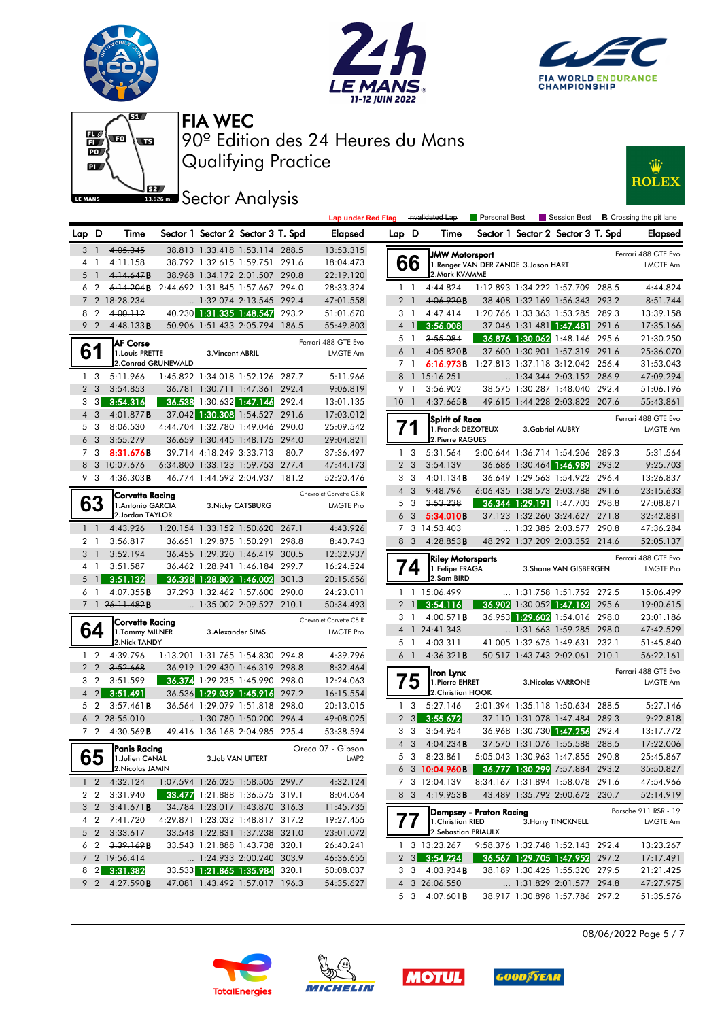











|       |                               |                                      |                          |                                                            |       | <b>Lap under Red Flag</b> |                |                 | Invalidated Lap                            | Personal Best                         |                                                            |       | Session Best <b>B</b> Crossing the pit lane |
|-------|-------------------------------|--------------------------------------|--------------------------|------------------------------------------------------------|-------|---------------------------|----------------|-----------------|--------------------------------------------|---------------------------------------|------------------------------------------------------------|-------|---------------------------------------------|
| Lap D |                               | Time                                 |                          | Sector 1 Sector 2 Sector 3 T. Spd                          |       | <b>Elapsed</b>            | Lap D          |                 | Time                                       |                                       | Sector 1 Sector 2 Sector 3 T. Spd                          |       | <b>Elapsed</b>                              |
|       | 3 <sup>1</sup>                | 4:05.345                             |                          | 38.813 1:33.418 1:53.114 288.5                             |       | 13:53.315                 |                |                 | <b>JMW Mororsport</b>                      |                                       |                                                            |       | Ferrari 488 GTE Evo                         |
|       | $4-1$                         | 4:11.158                             |                          | 38.792 1:32.615 1:59.751 291.6                             |       | 18:04.473                 |                | 66              |                                            | 1. Renger VAN DER ZANDE 3. Jason HART |                                                            |       | <b>LMGTE Am</b>                             |
| 5     | $\overline{1}$                | 4:14.647B                            |                          | 38.968 1:34.172 2:01.507 290.8                             |       | 22:19.120                 |                |                 | 2. Mark KVAMME                             |                                       |                                                            |       |                                             |
| 6     | $\overline{2}$                | 6:14.204B                            |                          | 2:44.692 1:31.845 1:57.667 294.0                           |       | 28:33.324                 |                | $1\quad$        | 4:44.824                                   |                                       | 1:12.893 1:34.222 1:57.709 288.5                           |       | 4:44.824                                    |
|       |                               | 2 18:28.234                          |                          | 1:32.074 2:13.545 292.4                                    |       | 47:01.558                 |                | 2 <sub>1</sub>  | 4:06.920B                                  |                                       | 38.408 1:32.169 1:56.343 293.2                             |       | 8:51.744                                    |
| 8     | $\overline{2}$                | 4:00.112                             |                          | 40.230 1:31.335 1:48.547 293.2                             |       | 51:01.670                 |                | 3 1             | 4:47.414                                   |                                       | 1:20.766 1:33.363 1:53.285 289.3                           |       | 13:39.158                                   |
|       | 9 <sub>2</sub>                | 4:48.133B                            |                          | 50.906 1:51.433 2:05.794 186.5                             |       | 55:49.803                 |                | $4 \mid$        | 3:56.008                                   |                                       | 37.046 1:31.481 1:47.481 291.6                             |       | 17:35.166                                   |
|       |                               | <b>AF Corse</b>                      |                          |                                                            |       | Ferrari 488 GTE Evo       |                | 5 1             | 3:55.084                                   |                                       | 36.876 1:30.062 1:48.146 295.6                             |       | 21:30.250                                   |
| 61    |                               | 1. Louis PRETTE                      | 3. Vincent ABRIL         |                                                            |       | LMGTE Am                  |                | 6 1             | 4:05.820B                                  |                                       | 37.600 1:30.901 1:57.319 291.6                             |       | 25:36.070                                   |
|       |                               | 2. Conrad GRUNEWALD                  |                          |                                                            |       |                           |                | 7 1             | 6:16.973B 1:27.813 1:37.118 3:12.042 256.4 |                                       |                                                            |       | 31:53.043                                   |
|       | 1 <sub>3</sub>                | 5:11.966                             |                          | 1:45.822 1:34.018 1:52.126 287.7                           |       | 5:11.966                  |                |                 | 8 1 15:16.251                              |                                       | $\ldots$ 1:34.344 2:03.152 286.9                           |       | 47:09.294                                   |
|       | 2 <sub>3</sub>                | 3:54.853                             |                          | 36.781 1:30.711 1:47.361 292.4                             |       | 9:06.819                  |                | 9 1             | 3:56.902                                   |                                       | 38.575 1:30.287 1:48.040 292.4                             |       | 51:06.196                                   |
|       | 3 <sub>3</sub><br>$4 \quad 3$ | 3:54.316                             |                          | 36.538 1:30.632 1:47.146<br>37.042 1:30.308 1:54.527 291.6 | 292.4 | 13:01.135                 |                | 10 <sub>1</sub> | 4:37.665B                                  |                                       | 49.615 1:44.228 2:03.822 207.6                             |       | 55:43.861                                   |
| 5     | -3                            | 4:01.877 <b>B</b><br>8:06.530        |                          | 4:44.704 1:32.780 1:49.046                                 | 290.0 | 17:03.012<br>25:09.542    |                |                 | Spirit of Race                             |                                       |                                                            |       | Ferrari 488 GTE Evo                         |
| 6     | -3                            | 3:55.279                             |                          | 36.659 1:30.445 1:48.175 294.0                             |       | 29:04.821                 |                |                 | 1. Franck DEZOTEUX<br>2. Pierre RAGUES     |                                       | 3. Gabriel AUBRY                                           |       | LMGTE Am                                    |
|       | 7 3                           | 8:31.676B                            | 39.714 4:18.249 3:33.713 |                                                            | 80.7  | 37:36.497                 |                | 1 <sub>3</sub>  | 5:31.564                                   |                                       | 2:00.644 1:36.714 1:54.206 289.3                           |       | 5:31.564                                    |
|       |                               | 8 3 10:07.676                        |                          | 6:34.800 1:33.123 1:59.753 277.4                           |       | 47:44.173                 |                | 2 <sub>3</sub>  | 3:54.139                                   |                                       | 36.686 1:30.464 1:46.989 293.2                             |       | 9:25.703                                    |
|       | 9 3                           | $4:36.303$ <b>B</b>                  |                          | 46.774 1:44.592 2:04.937 181.2                             |       | 52:20.476                 | 3              | - 3             | 4:01.134B                                  |                                       | 36.649 1:29.563 1:54.922 296.4                             |       | 13:26.837                                   |
|       |                               |                                      |                          |                                                            |       | Chevrolet Corvette C8.R   |                | 4 3             | 9:48.796                                   |                                       | 6:06.435 1:38.573 2:03.788 291.6                           |       | 23:15.633                                   |
|       | ხა                            | Corvette Racing<br>1. Antonio GARCIA |                          | 3. Nicky CATSBURG                                          |       | <b>LMGTE Pro</b>          |                | 5 <sub>3</sub>  | 3:53.238                                   |                                       | 36.344 1:29.191 1:47.703 298.8                             |       | 27:08.871                                   |
|       |                               | 2.Jordan TAYLOR                      |                          |                                                            |       |                           |                | 6 3             | 5:34.010B                                  |                                       | 37.123 1:32.260 3:24.627 271.8                             |       | 32:42.881                                   |
|       | $1\quad$                      | 4:43.926                             |                          | 1:20.154 1:33.152 1:50.620 267.1                           |       | 4:43.926                  |                |                 | 7 3 14:53.403                              |                                       | 1:32.385 2:03.577 290.8                                    |       | 47:36.284                                   |
|       | 2 <sub>1</sub>                | 3:56.817                             |                          | 36.651 1:29.875 1:50.291 298.8                             |       | 8:40.743                  |                | 8 3             | 4:28.853B                                  |                                       | 48.292 1:37.209 2:03.352 214.6                             |       | 52:05.137                                   |
|       | 3 <sub>1</sub>                | 3:52.194                             |                          | 36.455 1:29.320 1:46.419 300.5                             |       | 12:32.937                 |                |                 | <b>Riley Motorsports</b>                   |                                       |                                                            |       | Ferrari 488 GTE Evo                         |
|       | $4-1$                         | 3:51.587                             |                          | 36.462 1:28.941 1:46.184 299.7                             |       | 16:24.524                 |                | $\overline{14}$ | 1.Felipe FRAGA                             |                                       | 3. Shane VAN GISBERGEN                                     |       | <b>LMGTE Pro</b>                            |
| 5     | $\overline{1}$                | 3:51.132                             |                          | 36.328 1:28.802 1:46.002                                   | 301.3 | 20:15.656                 |                |                 | 2.Sam BIRD                                 |                                       |                                                            |       |                                             |
|       | 6 1                           | 4:07.355B                            |                          | 37.293 1:32.462 1:57.600 290.0                             |       | 24:23.011                 |                |                 | 1 1 15:06.499                              |                                       | 1:31.758 1:51.752 272.5                                    |       | 15:06.499                                   |
|       |                               | 7 1 <del>26:11.482</del> B           |                          | 1:35.002 2:09.527 210.1                                    |       | 50:34.493                 | $\overline{2}$ |                 | 3:54.116                                   |                                       | 36.902 1:30.052 1:47.162 295.6                             |       | 19:00.615                                   |
|       |                               | Corvette Racing                      |                          |                                                            |       | Chevrolet Corvette C8.R   | 3              | $\overline{1}$  | 4:00.571B                                  |                                       | 36.953 1:29.602 1:54.016 298.0                             |       | 23:01.186                                   |
|       | 64                            | 1. Tommy MILNER                      |                          | 3. Alexander SIMS                                          |       | <b>LMGTE Pro</b>          |                |                 | 4 1 24:41.343                              |                                       | 1:31.663 1:59.285 298.0                                    |       | 47:42.529                                   |
|       |                               | 2. Nick TANDY                        |                          |                                                            |       |                           |                | 5 1             | 4:03.311                                   |                                       | 41.005 1:32.675 1:49.631 232.1                             |       | 51:45.840                                   |
|       | $1\quad2$                     | 4:39.796                             |                          | 1:13.201 1:31.765 1:54.830 294.8                           |       | 4:39.796                  |                | 6 <sup>1</sup>  | 4:36.321B                                  |                                       | 50.517 1:43.743 2:02.061 210.1                             |       | 56:22.161                                   |
|       | 2 <sub>2</sub>                | 3:52.668                             |                          | 36.919 1:29.430 1:46.319 298.8                             |       | 8:32.464                  |                |                 | Iron Lynx                                  |                                       |                                                            |       | Ferrari 488 GTE Evo                         |
|       | 3 <sub>2</sub>                | 3:51.599                             |                          | 36.374 1:29.235 1:45.990 298.0                             |       | 12:24.063                 |                | 75              | 1. Pierre EHRET                            |                                       | 3. Nicolas VARRONE                                         |       | LMGTE Am                                    |
|       | $4 \quad 2$                   | 3:51.491                             |                          | 36.536 1:29.039 1:45.916 297.2                             |       | 16:15.554                 |                |                 | 2. Christian HOOK                          |                                       |                                                            |       |                                             |
| 5     | $\overline{2}$                | $3:57.461$ B                         |                          | 36.564 1:29.079 1:51.818 298.0                             |       | 20:13.015                 | $\mathbf{1}$   | 3               | 5:27.146                                   |                                       | 2:01.394 1:35.118 1:50.634 288.5                           |       | 5:27.146                                    |
|       |                               | 6 2 28:55.010<br>7 2 4:30.569B       |                          | 1:30.780 1:50.200 296.4<br>49.416 1:36.168 2:04.985 225.4  |       | 49:08.025                 |                | $2 \quad 3$     | 3:55.672                                   |                                       | 37.110 1:31.078 1:47.484 289.3                             |       | 9:22.818                                    |
|       |                               |                                      |                          |                                                            |       | 53:38.594                 |                | 3 3             | 3:54.954                                   |                                       | 36.968 1:30.730 1:47.256<br>37.570 1:31.076 1:55.588 288.5 | 292.4 | 13:17.772                                   |
|       | cЕ                            | <b>Panis Racing</b>                  |                          |                                                            |       | Oreca 07 - Gibson         |                | 4 3             | $4:04.234$ B<br>5 3 8:23.861               |                                       | 5:05.043 1:30.963 1:47.855 290.8                           |       | 17:22.006<br>25:45.867                      |
|       | ხე                            | 1.Julien CANAL<br>2.Nicolas JAMIN    |                          | 3.Job VAN UITERT                                           |       | LMP <sub>2</sub>          |                |                 | 6 3 <del>10:04.960</del> B                 |                                       | 36.777 1:30.299 7:57.884 293.2                             |       | 35:50.827                                   |
|       | $1\quad2$                     | 4:32.124                             |                          | 1:07.594 1:26.025 1:58.505 299.7                           |       | 4:32.124                  |                |                 | 7 3 12:04.139                              |                                       | 8:34.167 1:31.894 1:58.078 291.6                           |       | 47:54.966                                   |
|       | 2 <sub>2</sub>                | 3:31.940                             |                          | 33.477 1:21.888 1:36.575 319.1                             |       | 8:04.064                  |                | 8 3             | 4:19.953 <b>B</b>                          |                                       | 43.489 1:35.792 2:00.672 230.7                             |       | 52:14.919                                   |
|       | 3 <sub>2</sub>                | 3:41.671B                            |                          | 34.784 1:23.017 1:43.870 316.3                             |       | 11:45.735                 |                |                 |                                            |                                       |                                                            |       |                                             |
|       | 4 2                           | 7:41.720                             |                          | 4:29.871 1:23.032 1:48.817 317.2                           |       | 19:27.455                 |                |                 |                                            | Dempsey - Proton Racing               |                                                            |       | Porsche 911 RSR - 19                        |
|       | $5\quad2$                     | 3:33.617                             |                          | 33.548 1:22.831 1:37.238 321.0                             |       | 23:01.072                 |                | $\prime\prime$  | 1. Christian RIED<br>2. Sebastian PRIAULX  |                                       | 3. Harry TINCKNELL                                         |       | LMGTE Am                                    |
|       |                               | $62$ $3:39.169$ B                    |                          | 33.543 1:21.888 1:43.738 320.1                             |       | 26:40.241                 |                |                 | 1 3 13:23.267                              |                                       | 9:58.376 1:32.748 1:52.143 292.4                           |       | 13:23.267                                   |
|       |                               | 7 2 19:56.414                        |                          | 1:24.933 2:00.240 303.9                                    |       | 46:36.655                 |                |                 | $2 \quad 3 \quad 3:54.224$                 |                                       | 36.567 1:29.705 1:47.952 297.2                             |       | 17:17.491                                   |
|       |                               | 8 2 3:31.382                         |                          | 33.533 1:21.865 1:35.984 320.1                             |       | 50:08.037                 |                |                 | $3 \quad 3 \quad 4:03.934$ <b>B</b>        |                                       | 38.189 1:30.425 1:55.320 279.5                             |       | 21:21.425                                   |
|       |                               | 9 2 4:27.590 <b>B</b>                |                          | 47.081 1:43.492 1:57.017 196.3                             |       | 54:35.627                 |                |                 | 4 3 26:06.550                              |                                       | 1:31.829 2:01.577 294.8                                    |       | 47:27.975                                   |
|       |                               |                                      |                          |                                                            |       |                           |                |                 | 5 3 4:07.601B                              |                                       | 38.917 1:30.898 1:57.786 297.2                             |       | 51:35.576                                   |







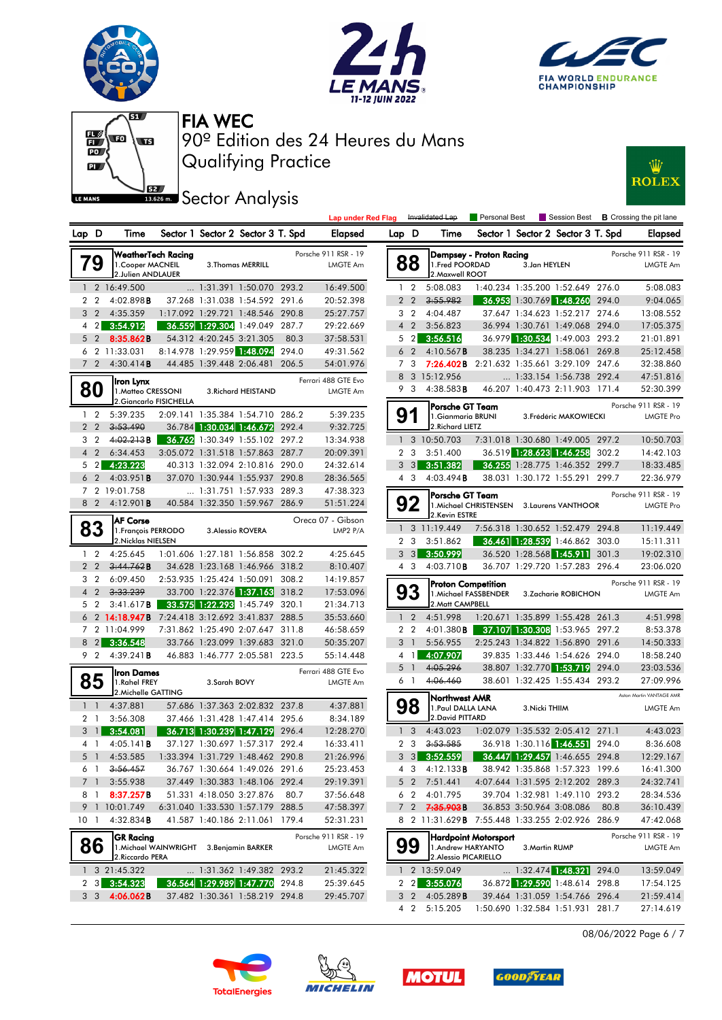







Qualifying Practice 90º Edition des 24 Heures du Mans FIA WEC

**Sector Analysis** 



|                                  |                                                 |                                          |                          |                                                                  |       | <b>Lap under Red Flag</b> |       |                | Invalidated Lap                                   | <b>Personal Best</b>                       |                |                                   |      | Session Best <b>B</b> Crossing the pit lane |
|----------------------------------|-------------------------------------------------|------------------------------------------|--------------------------|------------------------------------------------------------------|-------|---------------------------|-------|----------------|---------------------------------------------------|--------------------------------------------|----------------|-----------------------------------|------|---------------------------------------------|
| Lap D                            | Time                                            |                                          |                          | Sector 1 Sector 2 Sector 3 T. Spd                                |       | <b>Elapsed</b>            | Lap D |                | Time                                              |                                            |                | Sector 1 Sector 2 Sector 3 T. Spd |      | <b>Elapsed</b>                              |
|                                  | WeatherTech Racing                              |                                          |                          |                                                                  |       | Porsche 911 RSR - 19      |       |                |                                                   | Dempsey - Proton Racing                    |                |                                   |      | Porsche 911 RSR - 19                        |
| 79                               | 1. Cooper MACNEIL<br>2.Julien ANDLAUER          |                                          |                          | 3. Thomas MERRILL                                                |       | LMGTE Am                  |       | 88             | 1. Fred POORDAD<br>2. Maxwell ROOT                |                                            | 3.Jan HEYLEN   |                                   |      | <b>LMGTE Am</b>                             |
|                                  | 1 2 16:49.500                                   |                                          |                          | 1:31.391 1:50.070 293.2                                          |       | 16:49.500                 |       | $1\quad 2$     | 5:08.083                                          |                                            |                | 1:40.234 1:35.200 1:52.649 276.0  |      | 5:08.083                                    |
| 2 <sub>2</sub>                   | 4:02.898B                                       |                                          |                          | 37.268 1:31.038 1:54.592 291.6                                   |       | 20:52.398                 |       | $2\quad 2$     | 3:55.982                                          |                                            |                | 36.953 1:30.769 1:48.260 294.0    |      | 9:04.065                                    |
|                                  | 3 2 4:35.359                                    |                                          |                          | 1:17.092 1:29.721 1:48.546 290.8                                 |       | 25:27.757                 |       | 3 2            | 4:04.487                                          |                                            |                | 37.647 1:34.623 1:52.217 274.6    |      | 13:08.552                                   |
| $\left  \right $<br>4            | 3:54.912                                        |                                          |                          | 36.559 1:29.304 1:49.049 287.7                                   |       | 29:22.669                 |       | $4\quad2$      | 3:56.823                                          |                                            |                | 36.994 1:30.761 1:49.068 294.0    |      | 17:05.375                                   |
| $5\quad2$                        | 8:35.862B                                       |                                          | 54.312 4:20.245 3:21.305 |                                                                  | 80.3  | 37:58.531                 |       | 5 2            | 3:56.516                                          |                                            |                | 36.979 1:30.534 1:49.003 293.2    |      | 21:01.891                                   |
|                                  | 6 2 11:33.031                                   |                                          |                          | 8:14.978 1:29.959 1:48.094                                       | 294.0 | 49:31.562                 |       | 6 <sub>2</sub> | 4:10.567B                                         |                                            |                | 38.235 1:34.271 1:58.061 269.8    |      | 25:12.458                                   |
| 7 <sub>2</sub>                   | 4:30.414B                                       |                                          |                          | 44.485 1:39.448 2:06.481 206.5                                   |       | 54:01.976                 |       | 7 <sub>3</sub> | <b>7:26.402B</b> 2:21.632 1:35.661 3:29.109 247.6 |                                            |                |                                   |      | 32:38.860                                   |
|                                  | liron Lynx                                      |                                          |                          |                                                                  |       | Ferrari 488 GTE Evo       |       |                | 8 3 15:12.956                                     |                                            |                | 1:33.154 1:56.738 292.4           |      | 47:51.816                                   |
| 80                               | 1. Matteo CRESSONI                              |                                          |                          | 3. Richard HEISTAND                                              |       | LMGTE Am                  |       | 93             | 4:38.583B                                         |                                            |                | 46.207 1:40.473 2:11.903 171.4    |      | 52:30.399                                   |
|                                  |                                                 | 2. Giancarlo FISICHELLA                  |                          |                                                                  |       |                           |       |                | Porsche GT Team                                   |                                            |                |                                   |      | Porsche 911 RSR - 19                        |
| $1\quad 2$                       | 5:39.235<br>3:53.490                            |                                          |                          | 2:09.141 1:35.384 1:54.710 286.2                                 |       | 5:39.235                  |       | 91             | 1. Gianmaria BRUNI                                |                                            |                | 3. Frédéric MAKOWIECKI            |      | <b>LMGTE Pro</b>                            |
| 2 <sub>2</sub><br>3 <sub>2</sub> | 4:02.213B                                       |                                          |                          | 36.784 1:30.034 1:46.672 292.4<br>36.762 1:30.349 1:55.102 297.2 |       | 9:32.725<br>13:34.938     |       |                | 2. Richard LIETZ<br>1 3 10:50.703                 |                                            |                | 7:31.018 1:30.680 1:49.005 297.2  |      |                                             |
|                                  | 4 2 6:34.453                                    |                                          |                          | 3:05.072 1:31.518 1:57.863 287.7                                 |       | 20:09.391                 |       | 2 <sub>3</sub> | 3:51.400                                          |                                            |                | 36.519 1:28.623 1:46.258 302.2    |      | 10:50.703<br>14:42.103                      |
| $5 \quad 2$                      | 4:23.223                                        |                                          |                          | 40.313 1:32.094 2:10.816 290.0                                   |       | 24:32.614                 |       | $3 \quad 3$    | 3:51.382                                          |                                            |                | 36.255 1:28.775 1:46.352 299.7    |      | 18:33.485                                   |
|                                  | $6$ 2 4:03.951B                                 |                                          |                          | 37.070 1:30.944 1:55.937 290.8                                   |       | 28:36.565                 |       | 4 3            | 4:03.494B                                         |                                            |                | 38.031 1:30.172 1:55.291 299.7    |      | 22:36.979                                   |
|                                  | 7 2 19:01.758                                   |                                          |                          | 1:31.751 1:57.933 289.3                                          |       | 47:38.323                 |       |                |                                                   |                                            |                |                                   |      |                                             |
|                                  | 8 2 4:12.901B                                   |                                          |                          | 40.584 1:32.350 1:59.967 286.9                                   |       | 51:51.224                 |       | 92             | lPorsche GT Team                                  |                                            |                |                                   |      | Porsche 911 RSR - 19                        |
|                                  |                                                 |                                          |                          |                                                                  |       |                           |       |                | 2.Kevin ESTRE                                     | 1. Michael CHRISTENSEN 3. Laurens VANTHOOR |                |                                   |      | <b>LMGTE Pro</b>                            |
| 83                               | <b>AF Corse</b><br>1. François PERRODO          |                                          |                          | 3. Alessio ROVERA                                                |       | Oreca 07 - Gibson         |       |                | $1 \quad 3 \quad 11:19.449$                       |                                            |                | 7:56.318 1:30.652 1:52.479 294.8  |      | 11:19.449                                   |
|                                  | 2. Nicklas NIELSEN                              |                                          |                          |                                                                  |       | LMP2 P/A                  |       | 2 <sub>3</sub> | 3:51.862                                          |                                            |                | 36.461 1:28.539 1:46.862 303.0    |      | 15:11.311                                   |
| $1\quad 2$                       | 4:25.645                                        |                                          |                          | 1:01.606 1:27.181 1:56.858 302.2                                 |       | 4:25.645                  |       |                | 3 3 3:50.999                                      |                                            |                | 36.520 1:28.568 1:45.911 301.3    |      | 19:02.310                                   |
| 2 <sub>2</sub>                   | 3:44.762B                                       |                                          |                          | 34.628 1:23.168 1:46.966 318.2                                   |       | 8:10.407                  |       | 4 3            | 4:03.710B                                         |                                            |                | 36.707 1:29.720 1:57.283 296.4    |      | 23:06.020                                   |
| 3 <sub>2</sub>                   | 6:09.450                                        |                                          |                          | 2:53.935 1:25.424 1:50.091 308.2                                 |       | 14:19.857                 |       |                |                                                   |                                            |                |                                   |      |                                             |
| 4 2                              | 3:33.239                                        |                                          |                          | 33.700 1:22.376 1:37.163 318.2                                   |       | 17:53.096                 |       | 93             | Proton Competition                                | 1. Michael FASSBENDER                      |                | 3.Zacharie ROBICHON               |      | Porsche 911 RSR - 19<br><b>LMGTE Am</b>     |
| 5 2                              | $3:41.617$ B                                    |                                          |                          | 33.575 1:22.293 1:45.749 320.1                                   |       | 21:34.713                 |       |                | 2. Matt CAMPBELL                                  |                                            |                |                                   |      |                                             |
|                                  | 6 2 14:18.947B 7:24.418 3:12.692 3:41.837 288.5 |                                          |                          |                                                                  |       | 35:53.660                 |       | $1\quad 2$     | 4:51.998                                          |                                            |                | 1:20.671 1:35.899 1:55.428 261.3  |      | 4:51.998                                    |
|                                  | 7 2 11:04.999                                   |                                          |                          | 7:31.862 1:25.490 2:07.647 311.8                                 |       | 46:58.659                 |       | 2 <sub>2</sub> | 4:01.380B                                         |                                            |                | 37.107 1:30.308 1:53.965 297.2    |      | 8:53.378                                    |
| $8 \quad 2$                      | 3:36.548                                        |                                          |                          | 33.766 1:23.099 1:39.683 321.0                                   |       | 50:35.207                 |       | 3 <sup>1</sup> | 5:56.955                                          |                                            |                | 2:25.243 1:34.822 1:56.890 291.6  |      | 14:50.333                                   |
|                                  | 9 2 4:39.241 <b>B</b>                           |                                          |                          | 46.883 1:46.777 2:05.581 223.5                                   |       | 55:14.448                 |       | 4 1            | 4:07.907                                          |                                            |                | 39.835 1:33.446 1:54.626 294.0    |      | 18:58.240                                   |
|                                  | <b>Iron Dames</b>                               |                                          |                          |                                                                  |       | Ferrari 488 GTE Evo       |       | 5 <sub>1</sub> | 4:05.296                                          |                                            |                | 38.807 1:32.770 1:53.719 294.0    |      | 23:03.536                                   |
| 85                               | 1.Rahel FREY                                    |                                          | 3.Sarah BOVY             |                                                                  |       | LMGTE Am                  |       | 6 1            | 4:06.460                                          |                                            |                | 38.601 1:32.425 1:55.434 293.2    |      | 27:09.996                                   |
|                                  | 2. Michelle GATTING                             |                                          |                          |                                                                  |       |                           |       |                | Northwest AMR                                     |                                            |                |                                   |      | Aston Martin VANTAGE AMR                    |
| $1\quad$                         | 4:37.881                                        |                                          |                          | 57.686 1:37.363 2:02.832 237.8                                   |       | 4:37.881                  |       | 98             | 1. Paul DALLA LANA                                |                                            | 3. Nicki THIIM |                                   |      | LMGTE Am                                    |
| 2 1                              | 3:56.308                                        |                                          |                          | 37.466 1:31.428 1:47.414 295.6                                   |       | 8:34.189                  |       |                | 2. David PITTARD                                  |                                            |                |                                   |      |                                             |
| 3 <sup>1</sup>                   | 3:54.081                                        |                                          |                          | 36.713 1:30.239 1:47.129 296.4                                   |       | 12:28.270                 |       | 1 <sup>3</sup> | 4:43.023                                          |                                            |                | 1:02.079 1:35.532 2:05.412 271.1  |      | 4:43.023                                    |
| 41                               | 4:05.141B                                       |                                          |                          | 37.127 1:30.697 1:57.317 292.4                                   |       | 16:33.411                 |       | 2 <sub>3</sub> | 3:53.585                                          |                                            |                | 36.918 1:30.116 1:46.551 294.0    |      | 8:36.608                                    |
|                                  | 5 1 4:53.585                                    | 1:33.394 1:31.729 1:48.462 290.8         |                          |                                                                  |       | 21:26.996                 |       |                | 3 3 3:52.559 36.447 1:29.457 1:46.655 294.8       |                                            |                |                                   |      | 12:29.167                                   |
| 6 1                              | 3:56.457                                        |                                          |                          | 36.767 1:30.664 1:49.026 291.6                                   |       | 25:23.453                 |       |                | 4 3 4:12.133 <b>B</b>                             |                                            |                | 38.942 1:35.868 1:57.323 199.6    |      | 16:41.300                                   |
| 7 1                              | 3:55.938                                        |                                          |                          | 37.449 1:30.383 1:48.106 292.4                                   |       | 29:19.391                 |       | 5 2            | 7:51.441                                          |                                            |                | 4:07.644 1:31.595 2:12.202 289.3  |      | 24:32.741                                   |
| 81                               | 8:37.257B                                       |                                          |                          | 51.331 4:18.050 3:27.876                                         | 80.7  | 37:56.648                 |       | 6 2            | 4:01.795                                          |                                            |                | 39.704 1:32.981 1:49.110 293.2    |      | 28:34.536                                   |
|                                  | 9 1 10:01.749                                   |                                          |                          | 6:31.040 1:33.530 1:57.179 288.5                                 |       | 47:58.397                 |       |                | 7 2 7:35.903B                                     |                                            |                | 36.853 3:50.964 3:08.086          | 80.8 | 36:10.439                                   |
| 10 <sub>1</sub>                  | 4:32.834B                                       |                                          |                          | 41.587 1:40.186 2:11.061 179.4                                   |       | 52:31.231                 |       |                | 8 2 11:31.629 B 7:55.448 1:33.255 2:02.926 286.9  |                                            |                |                                   |      | 47:42.068                                   |
|                                  | GR Racing                                       |                                          |                          |                                                                  |       | Porsche 911 RSR - 19      |       |                |                                                   | Hardpoint Motorsport                       |                |                                   |      | Porsche 911 RSR - 19                        |
| 86                               |                                                 | 1. Michael WAINWRIGHT 3. Benjamin BARKER |                          |                                                                  |       | LMGTE Am                  |       | 99             | 1.Andrew HARYANTO                                 |                                            | 3. Martin RUMP |                                   |      | LMGTE Am                                    |
|                                  | 2. Riccardo PERA                                |                                          |                          |                                                                  |       |                           |       |                | 2. Alessio PICARIELLO                             |                                            |                |                                   |      |                                             |
|                                  | 1 3 21:45.322                                   |                                          |                          | 1:31.362 1:49.382 293.2                                          |       | 21:45.322                 |       |                | 1 2 13:59.049                                     |                                            |                | 1:32.474 1:48.321 294.0           |      | 13:59.049                                   |
| $2 \quad 3$                      | 3:54.323                                        |                                          |                          | 36.564 1:29.989 1:47.770 294.8                                   |       | 25:39.645                 |       |                | 2 2 3:55.076                                      |                                            |                | 36.872 1:29.590 1:48.614 298.8    |      | 17:54.125                                   |
|                                  | 3 3 4:06.062B                                   |                                          |                          | 37.482 1:30.361 1:58.219 294.8                                   |       | 29:45.707                 |       |                | 3 2 4:05.289 <b>B</b>                             |                                            |                | 39.464 1:31.059 1:54.766 296.4    |      | 21:59.414                                   |

| Lap                     | ט              | l ıme                                                                     | - 1<br><b>Sector</b> |                            | Sector 2 Sector 3 1. Spd |       | Elapsed                                     |
|-------------------------|----------------|---------------------------------------------------------------------------|----------------------|----------------------------|--------------------------|-------|---------------------------------------------|
|                         | 88             | Dempsey - Proton Racing<br>1. Fred POORDAD<br>2. Maxwell ROOT             |                      | 3.Jan HEYLEN               |                          |       | Porsche 911 RSR - 19<br><b>LMGTE Am</b>     |
| 1                       | 2              | 5:08.083                                                                  |                      | 1:40.234 1:35.200 1:52.649 |                          | 276.0 | 5:08.083                                    |
| $\overline{2}$          | $\overline{2}$ | 3:55.982                                                                  | 36.953               | 1:30.769 1:48.260          |                          | 294.0 | 9:04.065                                    |
| 3                       | 2              | 4:04.487                                                                  | 37.647               | 1:34.623 1:52.217          |                          | 274.6 | 13:08.552                                   |
| $\overline{\mathbf{4}}$ | $\overline{2}$ | 3:56.823                                                                  | 36.994               | 1:30.761                   | 1:49.068                 | 294.0 | 17:05.375                                   |
| 5                       | $\overline{2}$ | 3:56.516                                                                  |                      | 36.979 1:30.534            | 1:49.003                 | 293.2 | 21:01.891                                   |
| 6                       | $\overline{2}$ | 4:10.567 <b>B</b>                                                         | 38.235               | 1:34.271                   | 1:58.061                 | 269.8 | 25:12.458                                   |
| 7                       | 3              | 7:26.402B                                                                 | 2:21.632             | 1:35.661                   | 3:29.109                 | 247.6 | 32:38.860                                   |
| 8                       | 3              | 15:12.956                                                                 |                      | 1:33.154 1:56.738          |                          | 292.4 | 47:51.816                                   |
| 9                       | 3              | 4:38.583B                                                                 | 46.207               | 1:40.473 2:11.903          |                          | 171.4 | 52:30.399                                   |
| 9                       |                | Porsche GT Team<br>1.Gianmaria BRUNI<br>2.Richard LIETZ                   |                      |                            | 3. Frédéric MAKOWIECKI   |       | Porsche 911 RSR - 19<br><b>LMGTE Pro</b>    |
| 1                       | 3              | 10:50.703                                                                 |                      | 7:31.018 1:30.680 1:49.005 |                          | 297.2 | 10:50.703                                   |
| $\overline{2}$          | 3              | 3:51.400                                                                  |                      | 36.519 1:28.623 1:46.258   |                          | 302.2 | 14:42.103                                   |
| 3                       | 3 <sup>1</sup> | 3:51.382                                                                  |                      | 36.255 1:28.775 1:46.352   |                          | 299.7 | 18:33.485                                   |
| 4                       | 3              | 4:03.494B                                                                 | 38.031               | 1:30.172                   | 1:55.291                 | 299.7 | 22:36.979                                   |
|                         | 92             | <b>Porsche GT Team</b><br>1. Michael CHRISTENSEN<br>2.Kevin ESTRE         |                      |                            | 3. Laurens VANTHOOR      |       | Porsche 911 RSR - 19<br><b>LMGTE Pro</b>    |
| 1                       | 3              | 11:19.449                                                                 |                      | 7:56.318 1:30.652 1:52.479 |                          | 294.8 | 11:19.449                                   |
| $\overline{2}$          | 3              | 3:51.862                                                                  |                      | 36.461 1:28.539            | 1:46.862                 | 303.0 | 15:11.311                                   |
| 3                       | 3              | 3:50.999                                                                  |                      | 36.520 1:28.568 1:45.911   |                          | 301.3 | 19:02.310                                   |
| 4                       | 3              | 4:03.710 <b>B</b>                                                         | 36.707               | 1:29.720 1:57.283          |                          | 296.4 | 23:06.020                                   |
|                         |                |                                                                           |                      |                            |                          |       |                                             |
|                         |                | <b>Proton Competition</b><br>1. Michael FASSBENDER<br>2. Matt CAMPBELL    |                      |                            | 3.Zacharie ROBICHON      |       | Porsche 911 RSR - 19<br><b>LMGTE Am</b>     |
| 1                       | $\overline{2}$ | 4:51.998                                                                  | 1:20.671             | 1:35.899 1:55.428          |                          | 261.3 | 4:51.998                                    |
| 2                       | 2              | 4:01.380 <b>B</b>                                                         | 37.107               | 1:30.308                   | 1:53.965                 | 297.2 | 8:53.378                                    |
| 3                       | $\mathbf{1}$   | 5:56.955                                                                  |                      | 2:25.243 1:34.822 1:56.890 |                          | 291.6 | 14:50.333                                   |
| 4                       | 1              | 4:07.907                                                                  | 39.835               | 1:33.446 1:54.626          |                          | 294.0 | 18:58.240                                   |
| 5                       | 1              | 4:05.296                                                                  | 38.807               | 1:32.770 1:53.719          |                          | 294.0 | 23:03.536                                   |
| 6                       | 1              | 4:06.460                                                                  | 38.601               |                            | 1:32.425 1:55.434        | 293.2 | 27:09.996                                   |
|                         |                | Northwest AMR<br>1. Paul DALLA LANA<br>2. David PITTARD                   |                      | 3. Nicki THIIM             |                          |       | Aston Martin VANTAGE AMR<br><b>LMGTE Am</b> |
| $\mathbf{1}$            | 3              | 4:43.023                                                                  |                      | 1:02.079 1:35.532 2:05.412 |                          | 271.1 | 4:43.023                                    |
| $\overline{2}$          | 3              | 3:53.585                                                                  |                      | 36.918 1:30.116 1:46.551   |                          | 294.0 | 8:36.608                                    |
| 3                       | 3 <sup>1</sup> | 3:52.559                                                                  |                      | 36.447 1:29.457 1:46.655   |                          | 294.8 | 12:29.167                                   |
| 4                       | 3              | 4:12.133B                                                                 | 38.942               | 1:35.868 1:57.323          |                          | 199.6 | 16:41.300                                   |
| 5                       | $\overline{2}$ | 7:51.441                                                                  |                      | 4:07.644 1:31.595 2:12.202 |                          | 289.3 | 24:32.741                                   |
| 6                       | 2              | 4:01.795                                                                  |                      | 39.704 1:32.981            | 1:49.110                 | 293.2 | 28:34.536                                   |
| 7                       | $\overline{2}$ | 7:35.903B                                                                 |                      | 36.853 3:50.964 3:08.086   |                          | 80.8  | 36:10.439                                   |
| 8                       | 2              | 11:31.629 <b>B</b>                                                        |                      | 7:55.448 1:33.255 2:02.926 |                          | 286.9 | 47:42.068                                   |
|                         | 99             | <b>Hardpoint Motorsport</b><br>1.Andrew HARYANTO<br>2. Alessio PICARIELLO |                      | 3.Martin RUMP              |                          |       | Porsche 911 RSR - 19<br><b>LMGTE Am</b>     |
| 1                       | 2              | 13:59.049                                                                 | $\cdots$             | 1:32.474 1:48.321          |                          | 294.0 | 13:59.049                                   |
| 2                       | $\overline{2}$ | 3:55.076                                                                  |                      | 36.872 1:29.590 1:48.614   |                          | 298.8 | 17:54.125                                   |
| 3                       | $\overline{2}$ | 4:05.289B                                                                 |                      | 39.464 1:31.059 1:54.766   |                          | 296.4 | 21:59.414                                   |

08/06/2022 Page 6 / 7